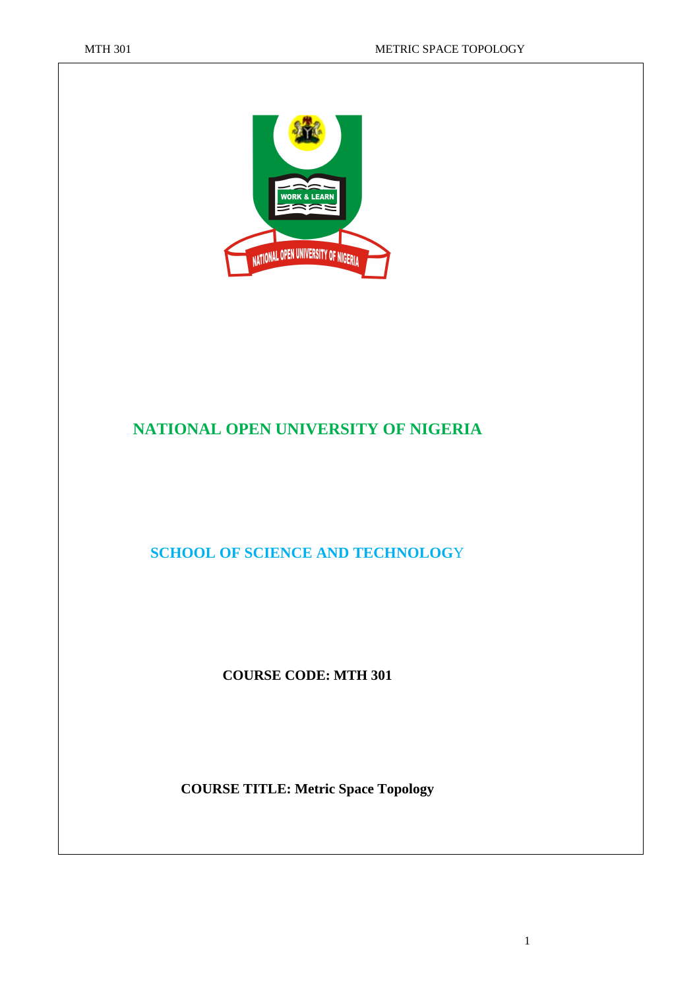

# **NATIONAL OPEN UNIVERSITY OF NIGERIA**

### **SCHOOL OF SCIENCE AND TECHNOLOG**Y

#### **COURSE CODE: MTH 301**

#### **COURSE TITLE: Metric Space Topology**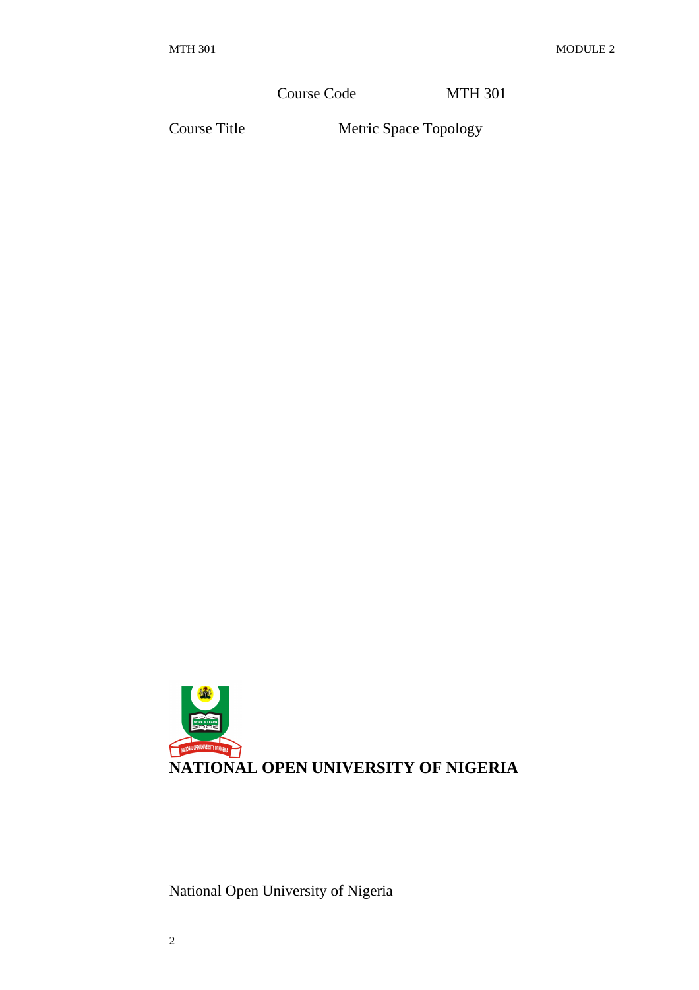Course Code MTH 301

Course Title Metric Space Topology



National Open University of Nigeria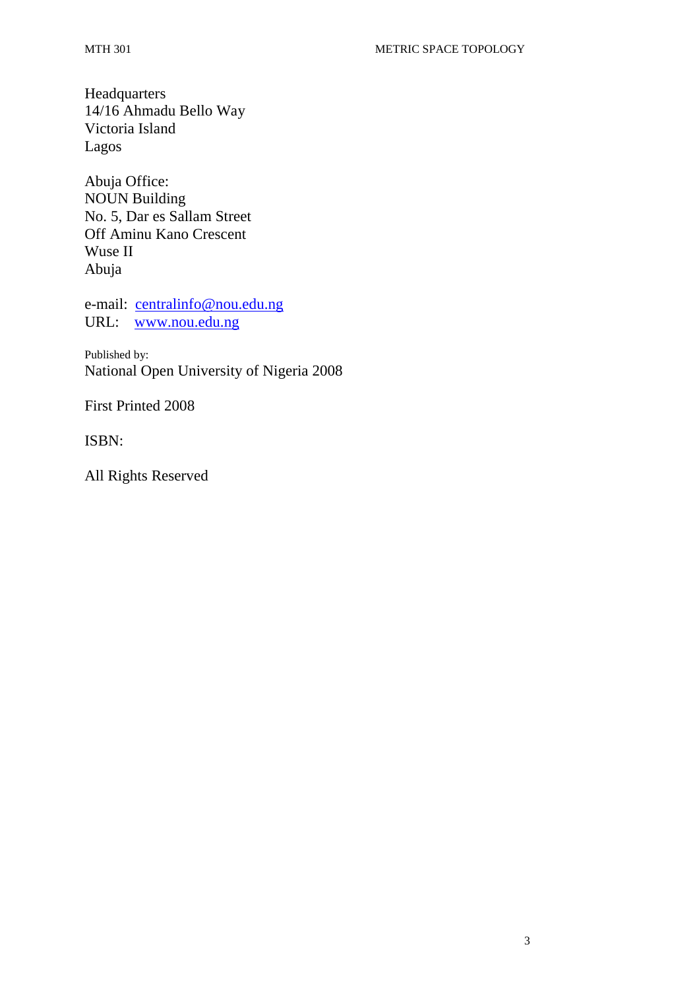Headquarters 14/16 Ahmadu Bello Way Victoria Island Lagos

Abuja Office: NOUN Building No. 5, Dar es Sallam Street Off Aminu Kano Crescent Wuse II Abuja

e-mail: centralinfo@nou.edu.ng URL: www.nou.edu.ng

Published by: National Open University of Nigeria 2008

First Printed 2008

ISBN:

All Rights Reserved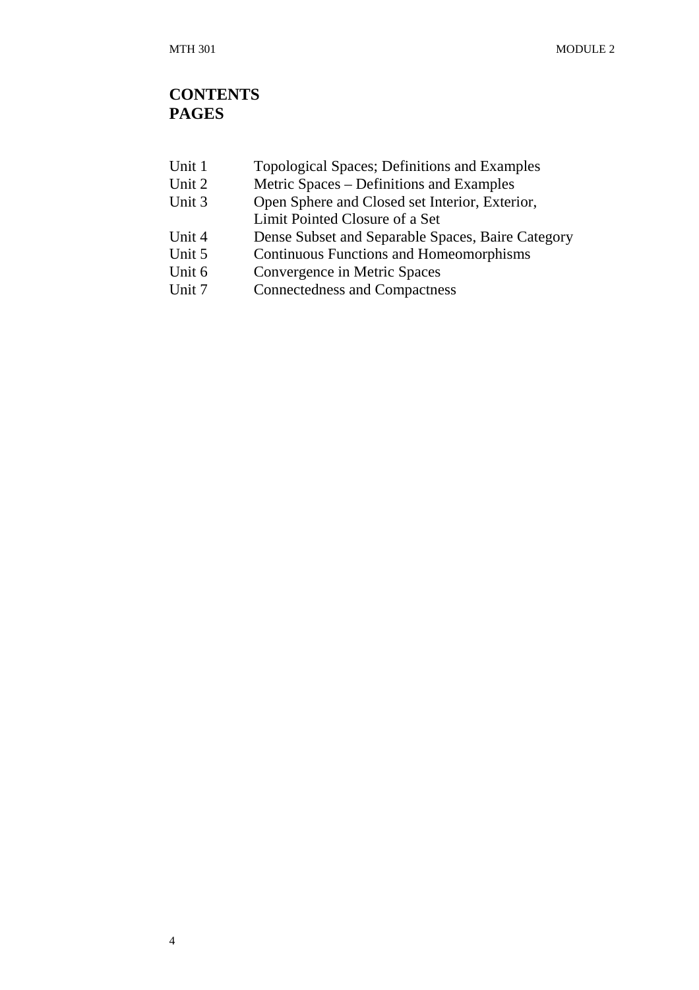## **CONTENTS PAGES**

| Unit 1 |  | Topological Spaces; Definitions and Examples |  |
|--------|--|----------------------------------------------|--|
|--------|--|----------------------------------------------|--|

- Unit 2 Metric Spaces Definitions and Examples<br>Unit 3 Open Sphere and Closed set Interior, Exter
- Open Sphere and Closed set Interior, Exterior,
- Limit Pointed Closure of a Set
- Unit 4 Dense Subset and Separable Spaces, Baire Category<br>Unit 5 Continuous Functions and Homeomorphisms
- Continuous Functions and Homeomorphisms
- Unit 6 Convergence in Metric Spaces
- Unit 7 Connectedness and Compactness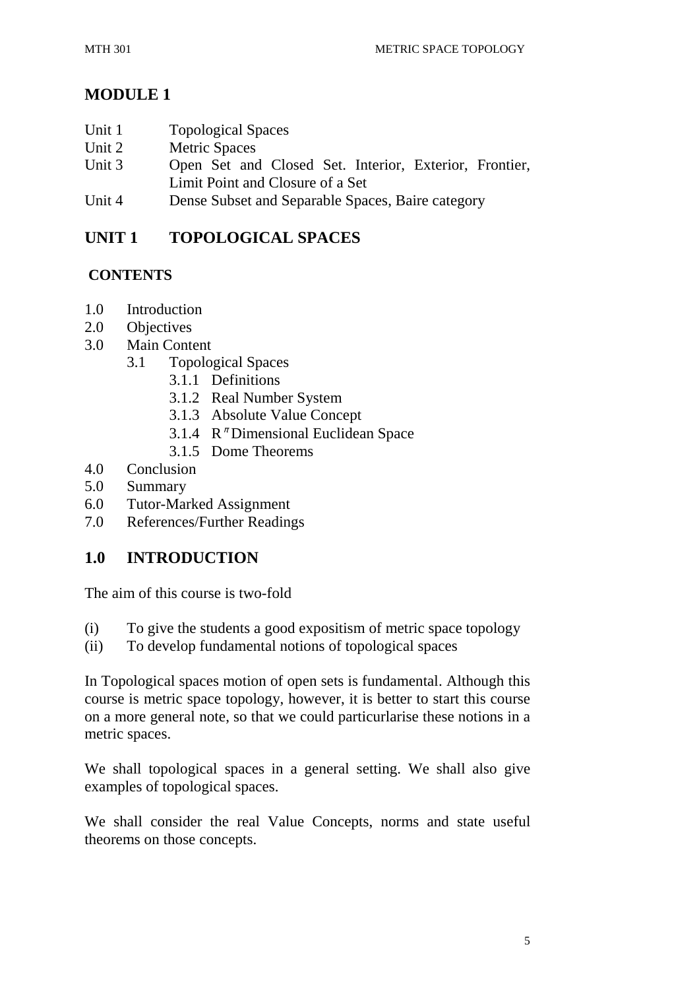# **MODULE 1**

- Unit 1 Topological Spaces
- Unit 2 Metric Spaces
- Unit 3 Open Set and Closed Set. Interior, Exterior, Frontier, Limit Point and Closure of a Set
- Unit 4 Dense Subset and Separable Spaces, Baire category

# **UNIT 1 TOPOLOGICAL SPACES**

## **CONTENTS**

- 1.0 Introduction
- 2.0 Objectives
- 3.0 Main Content
	- 3.1 Topological Spaces
		- 3.1.1 Definitions
		- 3.1.2 Real Number System
		- 3.1.3 Absolute Value Concept
		- 3.1.4  $R^{\pi}$  Dimensional Euclidean Space
		- 3.1.5 Dome Theorems
- 4.0 Conclusion
- 5.0 Summary
- 6.0 Tutor-Marked Assignment
- 7.0 References/Further Readings

## **1.0 INTRODUCTION**

The aim of this course is two-fold

- (i) To give the students a good expositism of metric space topology
- (ii) To develop fundamental notions of topological spaces

In Topological spaces motion of open sets is fundamental. Although this course is metric space topology, however, it is better to start this course on a more general note, so that we could particurlarise these notions in a metric spaces.

We shall topological spaces in a general setting. We shall also give examples of topological spaces.

We shall consider the real Value Concepts, norms and state useful theorems on those concepts.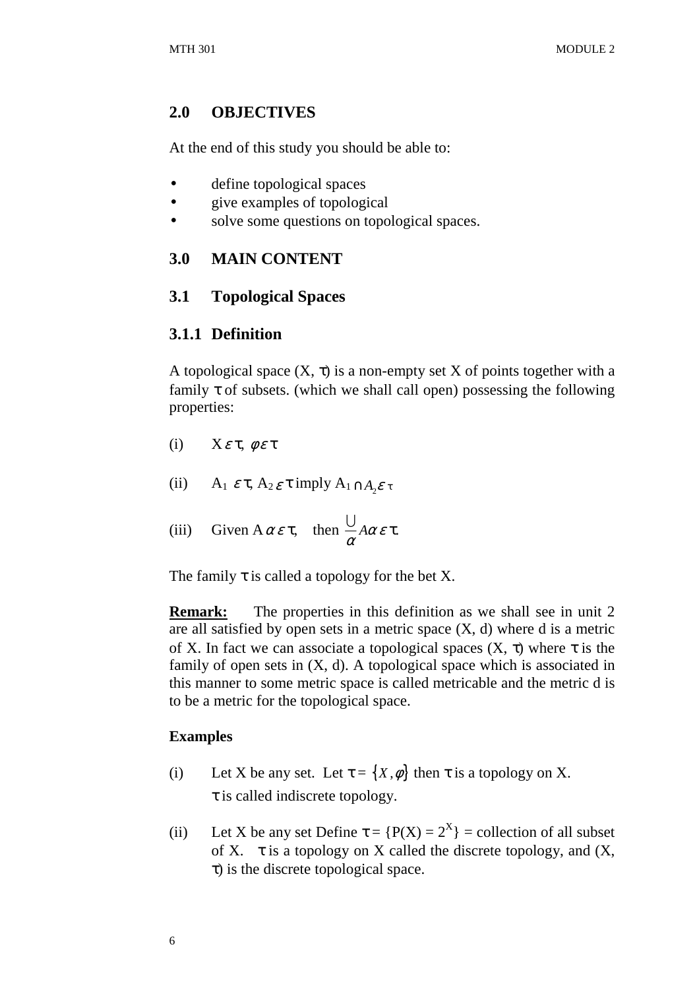### **2.0 OBJECTIVES**

At the end of this study you should be able to:

- define topological spaces
- give examples of topological
- solve some questions on topological spaces.

# **3.0 MAIN CONTENT**

## **3.1 Topological Spaces**

### **3.1.1 Definition**

A topological space  $(X, \tau)$  is a non-empty set X of points together with a family  $\tau$  of subsets. (which we shall call open) possessing the following properties:

- (i)  $X \varepsilon \tau$ ,  $\phi \varepsilon \tau$
- (ii)  $A_1 \varepsilon \tau$ ,  $A_2 \varepsilon \tau$  imply  $A_1 \cap A_2 \varepsilon \tau$
- (iii) Given  $A \alpha \varepsilon \tau$ , then  $\frac{\partial}{\partial} A \alpha \varepsilon$  $\cup$  Aαετ.

The family  $\tau$  is called a topology for the bet X.

**Remark:** The properties in this definition as we shall see in unit 2 are all satisfied by open sets in a metric space  $(X, d)$  where d is a metric of X. In fact we can associate a topological spaces  $(X, \tau)$  where  $\tau$  is the family of open sets in  $(X, d)$ . A topological space which is associated in this manner to some metric space is called metricable and the metric d is to be a metric for the topological space.

### **Examples**

- (i) Let X be any set. Let  $\tau = \{X, \phi\}$  then  $\tau$  is a topology on X. τ is called indiscrete topology.
- (ii) Let X be any set Define  $\tau = {P(X) = 2^X}$  = collection of all subset of X.  $\tau$  is a topology on X called the discrete topology, and  $(X, \tau)$ τ) is the discrete topological space.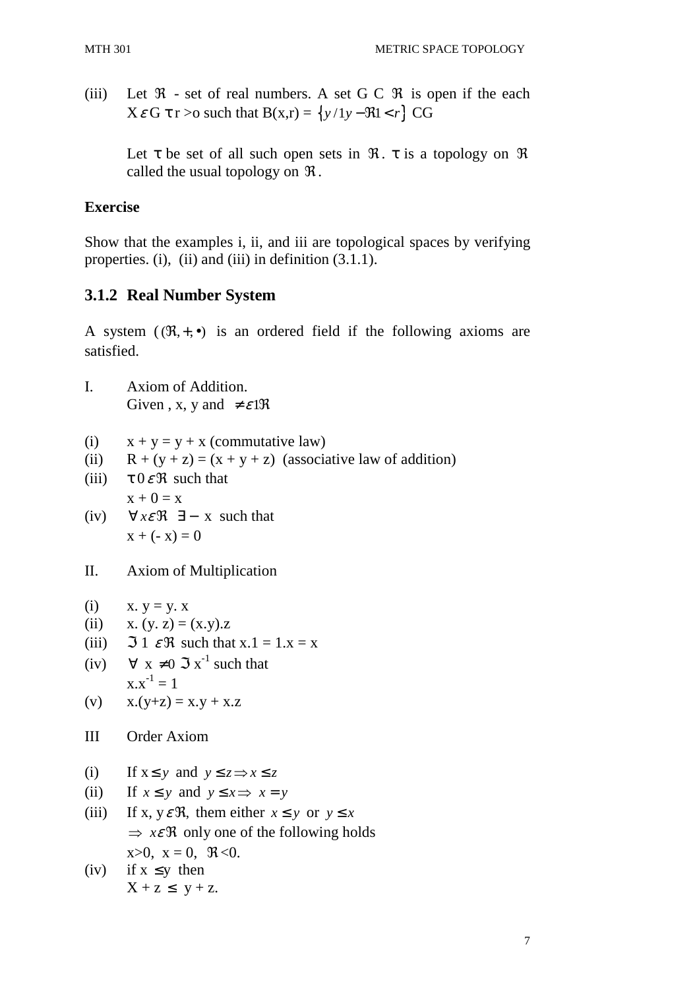(iii) Let  $\Re$  - set of real numbers. A set G C  $\Re$  is open if the each  $X \in G$  **t** r > o such that  $B(x,r) = \{y/1y - \Re 1 \le r\}$  CG

Let  $\tau$  be set of all such open sets in  $\mathcal{R}$ .  $\tau$  is a topology on  $\mathcal{R}$ called the usual topology on  $\Re$ .

### **Exercise**

Show that the examples i, ii, and iii are topological spaces by verifying properties. (i), (ii) and (iii) in definition (3.1.1).

# **3.1.2 Real Number System**

A system  $((\mathfrak{R}, +,\bullet))$  is an ordered field if the following axioms are satisfied.

- I. Axiom of Addition. Given , x, y and  $\neq \varepsilon$ 1 $\Re$
- (i)  $x + y = y + x$  (commutative law)
- (ii)  $R + (y + z) = (x + y + z)$  (associative law of addition)
- (iii)  $\tau 0 \in \Re$  such that  $x + 0 = x$
- (iv)  $\forall x \in \mathcal{R} \exists x \text{ such that}$  $x + (-x) = 0$
- II. Axiom of Multiplication

```
(i) x. y = y. x
```
- (ii) x.  $(y, z) = (x,y)z$
- (iii)  $\Im 1 \mathcal{E} \mathfrak{R}$  such that  $x.1 = 1.x = x$
- (iv)  $\forall x \neq 0 \Im x^{-1}$  such that  $x.x^{-1} = 1$
- (v)  $x.(y+z) = x. y + x. z$
- III Order Axiom
- (i) If  $x \le y$  and  $y \le z \implies x \le z$
- (ii) If  $x \le y$  and  $y \le x \implies x = y$
- (iii) If x,  $y \in \mathcal{R}$ , them either  $x \leq y$  or  $y \leq x$  $\Rightarrow x \in \mathcal{R}$  only one of the following holds  $x>0$ ,  $x = 0$ ,  $\Re \le 0$ .
- (iv) if  $x \leq y$  then  $X + z \leq y + z$ .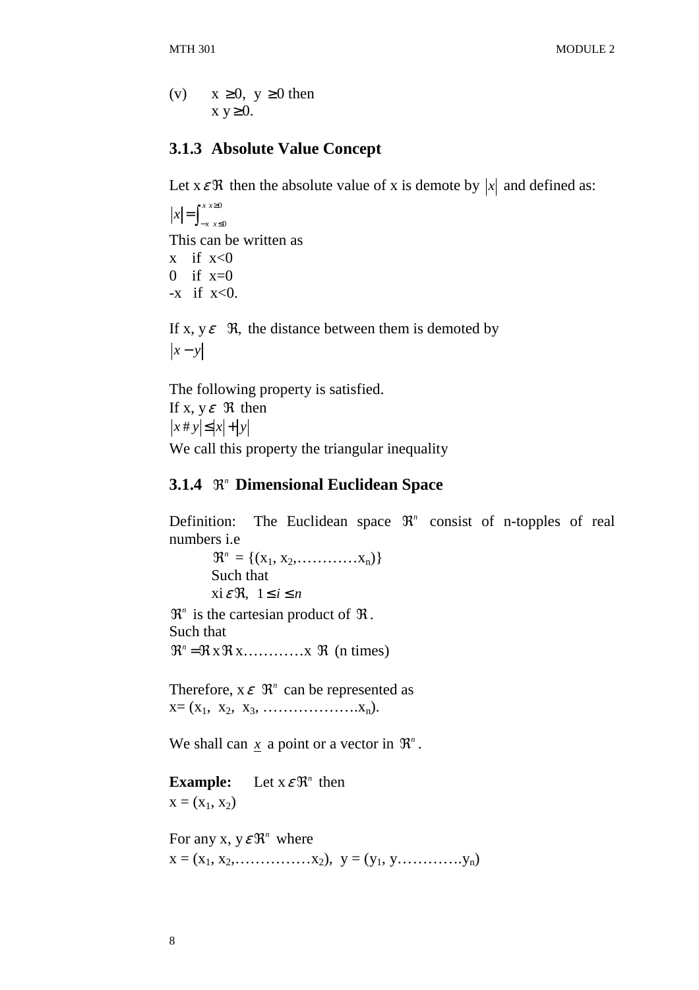(v)  $x \ge 0$ ,  $y \ge 0$  then  $x y \geq 0$ .

#### **3.1.3 Absolute Value Concept**

Let  $x \in \mathcal{R}$  then the absolute value of x is demote by  $|x|$  and defined as:

0 0 *x x*  $x = \int_{-x}^{x} x^2 dx$  $=\int_{-x}^{x} \int_{x \leq 0}^{x^2}$ This can be written as x if  $x < 0$ 0 if  $x=0$  $-x$  if  $x<0$ .

If x,  $y \in \Re$ , the distance between them is demoted by  $|x-y|$ 

The following property is satisfied. If x,  $y \in \Re$  then  $|x \# y| \leq |x| + |y|$ We call this property the triangular inequality

#### **3.1.4**  $\mathbb{R}^n$  **Dimensional Euclidean Space**

Definition: The Euclidean space  $\mathbb{R}^n$  consist of n-topples of real numbers i.e

 $\mathfrak{R}^n = \{ (x_1, x_2, \ldots, x_n) \}$  Such that  $x i \in \Re, 1 \leq i \leq n$ 

 $\mathfrak{R}^n$  is the cartesian product of  $\mathfrak{R}$ . Such that  $\mathfrak{R}^n = \mathfrak{R} \times \mathfrak{R} \times \ldots \times \mathfrak{R}$  (n times)

Therefore,  $x \in \mathbb{R}^n$  can be represented as  $X = (X_1, X_2, X_3, \ldots, X_n).$ 

We shall can  $x$  a point or a vector in  $\mathfrak{R}^n$ .

**Example:** Let  $x \in \mathbb{R}^n$  then  $x = (x_1, x_2)$ 

For any x,  $y \in \mathbb{R}^n$  where  $x = (x_1, x_2, \ldots, x_n), y = (y_1, y, \ldots, y_n)$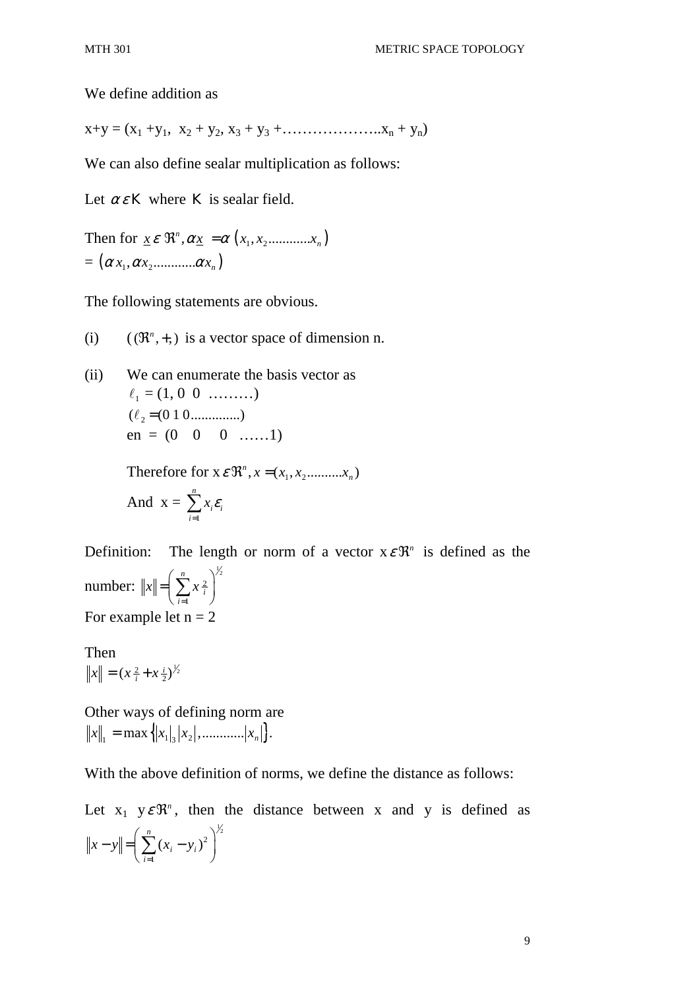We define addition as

 $x+y = (x_1 + y_1, x_2 + y_2, x_3 + y_3 + \dots + x_n + y_n)$ 

We can also define sealar multiplication as follows:

Let  $\alpha \varepsilon K$  where K is sealar field.

Then for  $\underline{x} \in \Re^n, \alpha \underline{x} = \alpha (x_1, x_2 \dots \dots \dots x_n)$  $\underline{x} \varepsilon \ \mathfrak{R}^n, \alpha \underline{x} = \alpha \left( x_1, x_2 \dots x_n \right)$  $= (\alpha x_1, \alpha x_2, \ldots, \alpha x_n)$ 

The following statements are obvious.

- (i)  $((\mathfrak{R}^n, +))$  is a vector space of dimension n.
- (ii) We can enumerate the basis vector as  $\ell_1 = (1, 0 \ 0 \ \ldots)$  $(\ell_2 = (0 \ 1 \ 0 \dots \dots \dots \dots))$  $en = (0 \ 0 \ 0 \ \dots \ 1)$

Therefore for  $x \in \mathbb{R}^n$ ,  $x = (x_1, x_2, \dots, x_n)$ 

And 
$$
x = \sum_{i=1}^{n} x_i \varepsilon_i
$$

Definition: The length or norm of a vector  $x \in \mathbb{R}^n$  is defined as the number:  $\binom{1}{2}^{\frac{1}{2}}$ 1 *n*  $\|x\| = \sum x_i^2$ *i* =  $=\left(\sum_{i=1}^n x_i^2\right)^{\gamma}$ For example let  $n = 2$ 

Then  $\|x\| = (x\frac{2}{i} + x\frac{i}{2})^{\frac{1}{2}}$ 

Other ways of defining norm are  $||x||_1 = \max\{|x_1|, |x_2|, \dots |x_n|\}.$ 

With the above definition of norms, we define the distance as follows:

Let  $x_1$   $y \in \mathbb{R}^n$ , then the distance between x and y is defined as  $\big\}^{\frac{1}{2}}$ 1  $(x_i - y_i)$ *n i i i*  $||x - y|| = | \sum (x_i - y)$ =  $- y \le \left( \sum_{i=1}^n (x_i - y_i)^2 \right)^2$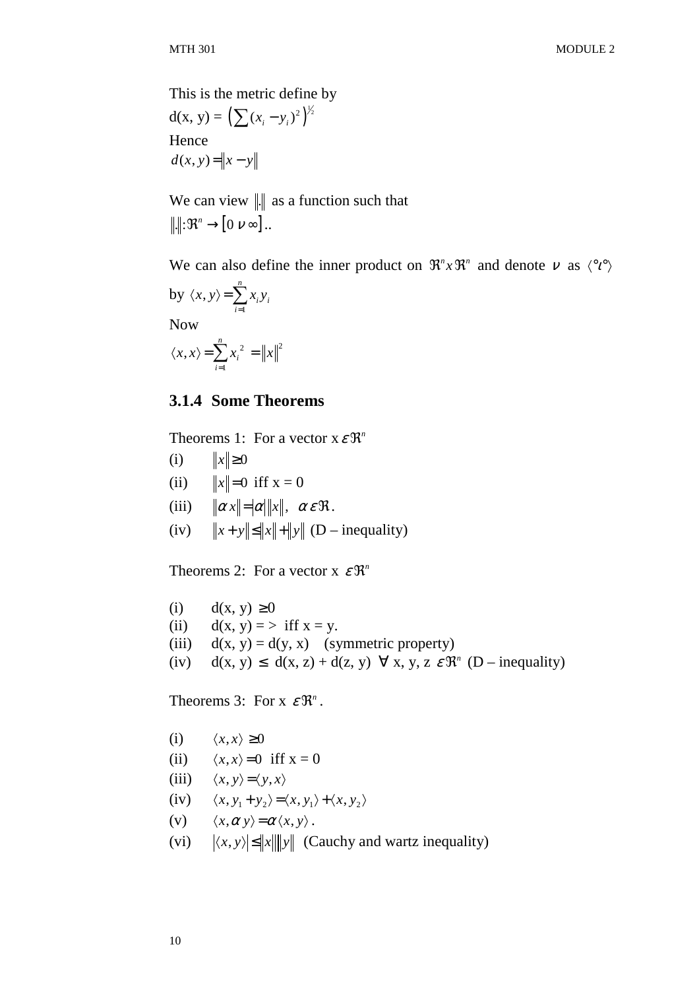This is the metric define by  $d(x, y) = (\sum (x_i - y_i)^2)^{\frac{1}{2}}$ Hence  $d(x, y) = ||x - y||$ 

We can view  $\| \cdot \|$  as a function such that  $\cdot \| \colon \mathfrak{R}^n \to [0 \; \nu \infty] \dots$ 

We can also define the inner product on  $\mathfrak{R}^n x \mathfrak{R}^n$  and denote  $v$  as  $\langle {}^{\circ}l^{\circ} \rangle$ 

by 
$$
\langle x, y \rangle = \sum_{i=1}^{n} x_i y_i
$$
  
Now

Now

$$
\langle x, x \rangle = \sum_{i=1}^{n} x_i^2 = ||x||^2
$$

#### **3.1.4 Some Theorems**

Theorems 1: For a vector  $x \in \mathbb{R}^n$ 

- (i)  $||x|| \ge 0$
- (ii)  $||x|| = 0$  iff  $x = 0$
- (iii)  $\|\alpha x\| = |\alpha| \|x\|, \alpha \varepsilon \Re.$
- (iv)  $||x+y|| \le ||x|| + ||y||$  (D inequality)

Theorems 2: For a vector  $x \in \mathbb{R}^n$ 

- (i)  $d(x, y) \ge 0$
- (ii)  $d(x, y) = \frac{1}{x}$  if  $x = y$ .
- (iii)  $d(x, y) = d(y, x)$  (symmetric property)
- (iv)  $d(x, y) \leq d(x, z) + d(z, y) \quad \forall x, y, z \in \mathbb{R}^n \ (D inequality)$

Theorems 3: For  $x \in \mathbb{R}^n$ .

- (i)  $\langle x, x \rangle \ge 0$
- (ii)  $\langle x, x \rangle = 0$  iff  $x = 0$
- (iii)  $\langle x, y \rangle = \langle y, x \rangle$
- (iv)  $\langle x, y_1 + y_2 \rangle = \langle x, y_1 \rangle + \langle x, y_2 \rangle$
- (v)  $\langle x, \alpha y \rangle = \alpha \langle x, y \rangle$ .
- (vi)  $\langle x, y \rangle \le ||x|| ||y||$  (Cauchy and wartz inequality)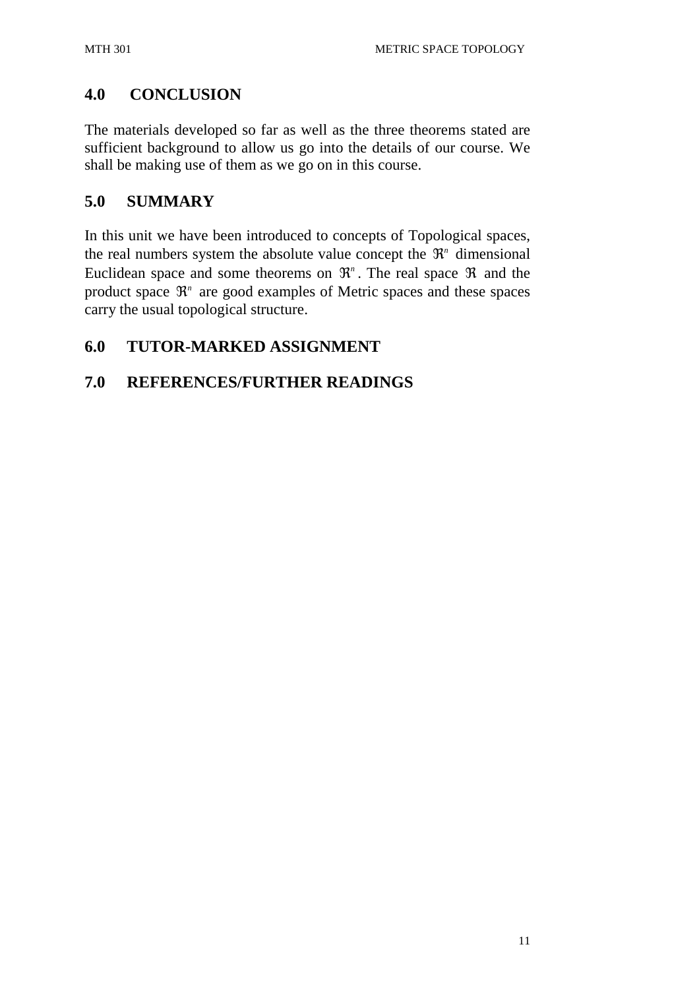# **4.0 CONCLUSION**

The materials developed so far as well as the three theorems stated are sufficient background to allow us go into the details of our course. We shall be making use of them as we go on in this course.

## **5.0 SUMMARY**

In this unit we have been introduced to concepts of Topological spaces, the real numbers system the absolute value concept the  $\mathfrak{R}^n$  dimensional Euclidean space and some theorems on  $\mathbb{R}^n$ . The real space  $\mathbb{R}$  and the product space  $\mathbb{R}^n$  are good examples of Metric spaces and these spaces carry the usual topological structure.

## **6.0 TUTOR-MARKED ASSIGNMENT**

## **7.0 REFERENCES/FURTHER READINGS**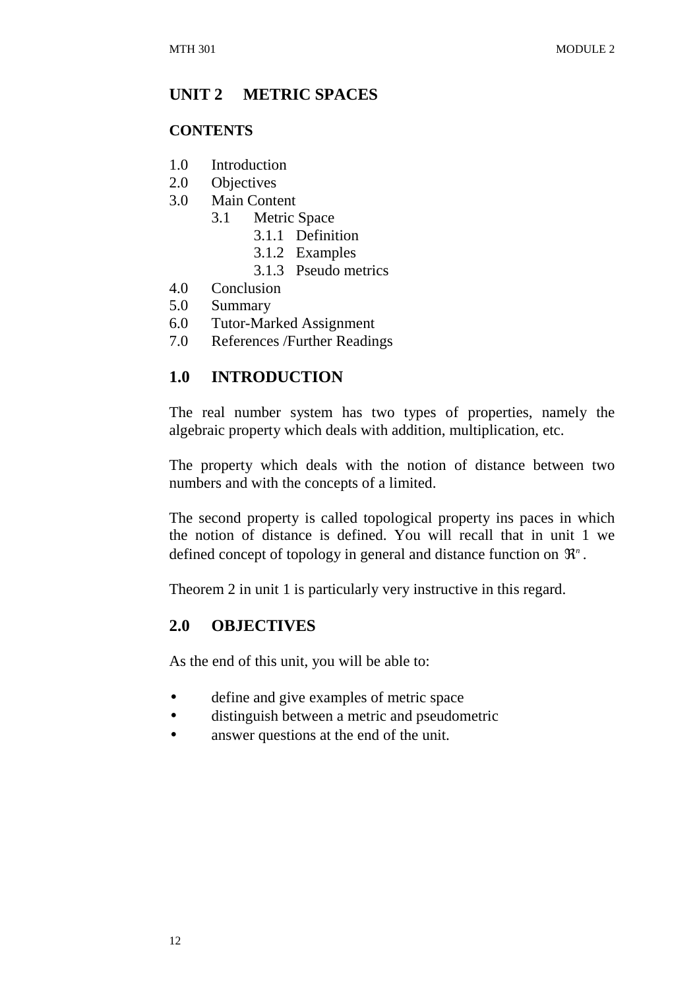## **UNIT 2 METRIC SPACES**

#### **CONTENTS**

- 1.0 Introduction
- 2.0 Objectives
- 3.0 Main Content
	- 3.1 Metric Space
		- 3.1.1 Definition
		- 3.1.2 Examples
		- 3.1.3 Pseudo metrics
- 4.0 Conclusion
- 5.0 Summary
- 6.0 Tutor-Marked Assignment
- 7.0 References /Further Readings

## **1.0 INTRODUCTION**

The real number system has two types of properties, namely the algebraic property which deals with addition, multiplication, etc.

The property which deals with the notion of distance between two numbers and with the concepts of a limited.

The second property is called topological property ins paces in which the notion of distance is defined. You will recall that in unit 1 we defined concept of topology in general and distance function on  $\mathfrak{R}^n$ .

Theorem 2 in unit 1 is particularly very instructive in this regard.

### **2.0 OBJECTIVES**

As the end of this unit, you will be able to:

- define and give examples of metric space
- distinguish between a metric and pseudometric
- answer questions at the end of the unit.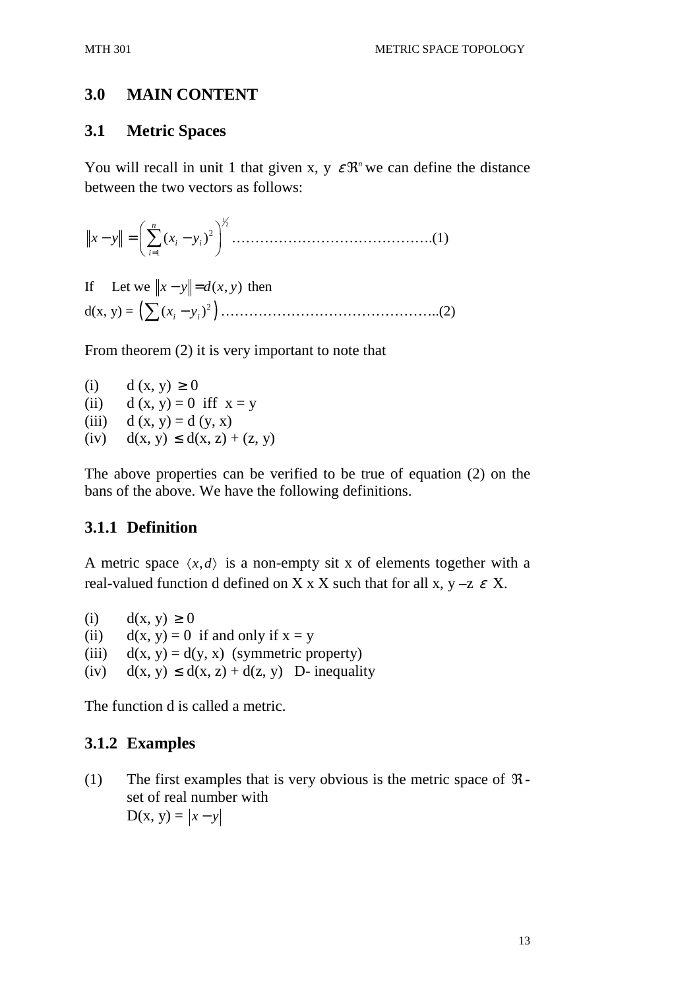## **3.0 MAIN CONTENT**

### **3.1 Metric Spaces**

You will recall in unit 1 that given x, y  $\varepsilon \mathfrak{R}^n$  we can define the distance between the two vectors as follows:

1 2 2 1 ( ) *n i i i x y x y* = − = − <sup>∑</sup> …………………………………….(1)

If Let we  $\|x - y\| = d(x, y)$  then d(x, y) = ( ) 2 ( ) *i i* ∑ *x y* <sup>−</sup> ………………………………………..(2)

From theorem (2) it is very important to note that

(i)  $d(x, y) \ge 0$ (ii)  $d(x, y) = 0$  iff  $x = y$ (iii)  $d(x, y) = d(y, x)$ (iv)  $d(x, y) \leq d(x, z) + (z, y)$ 

The above properties can be verified to be true of equation (2) on the bans of the above. We have the following definitions.

### **3.1.1 Definition**

A metric space  $\langle x, d \rangle$  is a non-empty sit x of elements together with a real-valued function d defined on X x X such that for all x,  $y - z \varepsilon X$ .

(i)  $d(x, y) \ge 0$ 

(ii)  $d(x, y) = 0$  if and only if  $x = y$ 

(iii)  $d(x, y) = d(y, x)$  (symmetric property)

(iv)  $d(x, y) \leq d(x, z) + d(z, y)$  D-inequality

The function d is called a metric.

### **3.1.2 Examples**

(1) The first examples that is very obvious is the metric space of  $\Re$ set of real number with  $D(x, y) = |x - y|$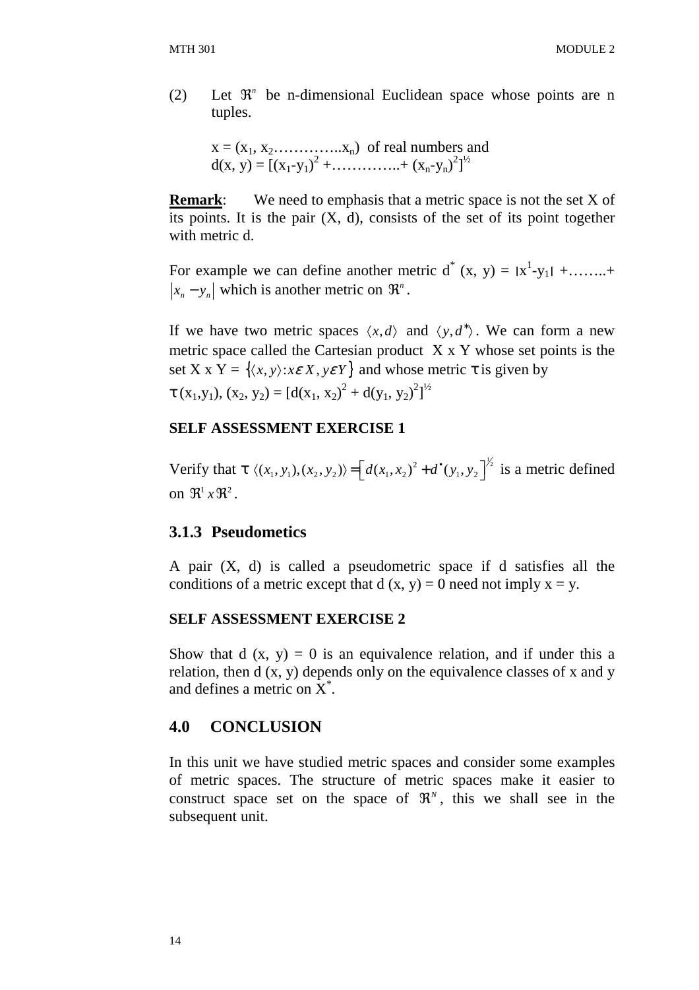(2) Let  $\mathbb{R}^n$  be n-dimensional Euclidean space whose points are n tuples.

 $x = (x_1, x_2, \ldots, x_n)$  of real numbers and  $d(x, y) = [(x_1-y_1)^2 + \dots + (x_n-y_n)^2]^{1/2}$ 

**Remark:** We need to emphasis that a metric space is not the set X of its points. It is the pair  $(X, d)$ , consists of the set of its point together with metric d.

For example we can define another metric  $d^*(x, y) = |x^1-y_1| + \dots +$  $|x_n - y_n|$  which is another metric on  $\Re^n$ .

If we have two metric spaces  $\langle x, d \rangle$  and  $\langle y, d^* \rangle$ . We can form a new metric space called the Cartesian product X x Y whose set points is the set X x Y =  $\{\langle x, y \rangle : x \in X, y \in Y\}$  and whose metric  $\tau$  is given by  $\tau$  (x<sub>1</sub>,y<sub>1</sub>), (x<sub>2</sub>, y<sub>2</sub>) = [d(x<sub>1</sub>, x<sub>2</sub>)<sup>2</sup> + d(y<sub>1</sub>, y<sub>2</sub>)<sup>2</sup>]<sup>1/2</sup>

#### **SELF ASSESSMENT EXERCISE 1**

Verify that  $\tau \langle (x_1, y_1), (x_2, y_2) \rangle = \left[ d(x_1, x_2)^2 + d^*(y_1, y_2) \right]^{\frac{1}{2}}$  is a metric defined on  $\mathfrak{R}^1 x \mathfrak{R}^2$ .

#### **3.1.3 Pseudometics**

A pair (X, d) is called a pseudometric space if d satisfies all the conditions of a metric except that  $d(x, y) = 0$  need not imply  $x = y$ .

#### **SELF ASSESSMENT EXERCISE 2**

Show that d  $(x, y) = 0$  is an equivalence relation, and if under this a relation, then d (x, y) depends only on the equivalence classes of x and y and defines a metric on  $\tilde{X}^*$ .

#### **4.0 CONCLUSION**

In this unit we have studied metric spaces and consider some examples of metric spaces. The structure of metric spaces make it easier to construct space set on the space of  $\mathfrak{R}^N$ , this we shall see in the subsequent unit.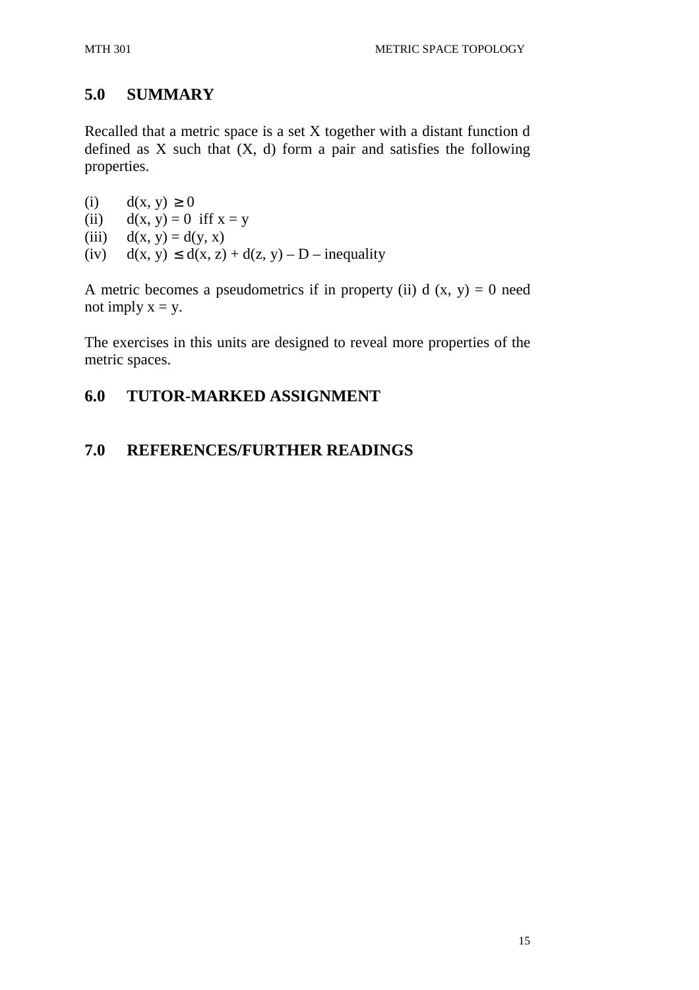## **5.0 SUMMARY**

Recalled that a metric space is a set X together with a distant function d defined as  $X$  such that  $(X, d)$  form a pair and satisfies the following properties.

(i)  $d(x, y) \ge 0$ 

(ii)  $d(x, y) = 0$  iff  $x = y$ 

- (iii)  $d(x, y) = d(y, x)$
- (iv)  $d(x, y) \leq d(x, z) + d(z, y) D$  inequality

A metric becomes a pseudometrics if in property (ii) d  $(x, y) = 0$  need not imply  $x = y$ .

The exercises in this units are designed to reveal more properties of the metric spaces.

# **6.0 TUTOR-MARKED ASSIGNMENT**

## **7.0 REFERENCES/FURTHER READINGS**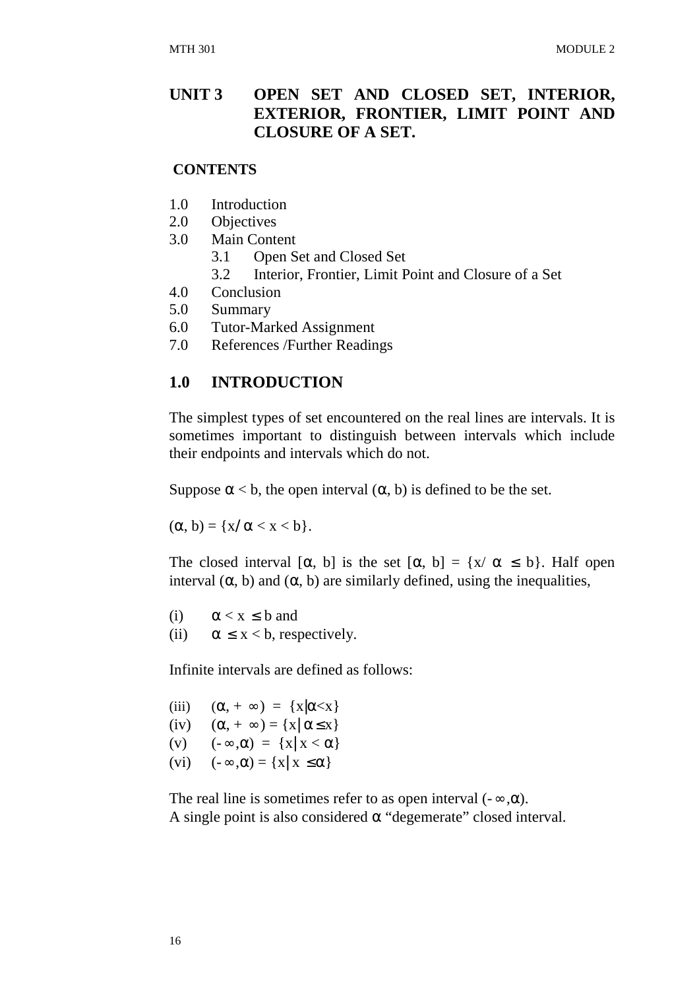### **UNIT 3 OPEN SET AND CLOSED SET, INTERIOR, EXTERIOR, FRONTIER, LIMIT POINT AND CLOSURE OF A SET.**

#### **CONTENTS**

- 1.0 Introduction
- 2.0 Objectives
- 3.0 Main Content
	- 3.1 Open Set and Closed Set
	- 3.2 Interior, Frontier, Limit Point and Closure of a Set
- 4.0 Conclusion
- 5.0 Summary
- 6.0 Tutor-Marked Assignment
- 7.0 References /Further Readings

### **1.0 INTRODUCTION**

The simplest types of set encountered on the real lines are intervals. It is sometimes important to distinguish between intervals which include their endpoints and intervals which do not.

Suppose  $\alpha < b$ , the open interval  $(\alpha, b)$  is defined to be the set.

 $(\alpha, b) = \{x/\alpha < x < b\}.$ 

The closed interval  $[\alpha, b]$  is the set  $[\alpha, b] = \{x/\alpha \leq b\}$ . Half open interval  $(\alpha, b)$  and  $(\alpha, b)$  are similarly defined, using the inequalities,

(i)  $\alpha < x \leq b$  and (ii)  $\alpha \leq x < b$ , respectively.

Infinite intervals are defined as follows:

(iii)  $(\alpha, +\infty) = \{x | \alpha \lt x\}$ (iv)  $(\alpha, +\infty) = \{x | \alpha \le x\}$ (v)  $(-\infty, \alpha) = \{x | x < \alpha\}$ (vi)  $(-\infty,\alpha) = \{x | x \leq \alpha\}$ 

The real line is sometimes refer to as open interval  $(-\infty, \alpha)$ . A single point is also considered  $\alpha$  "degemerate" closed interval.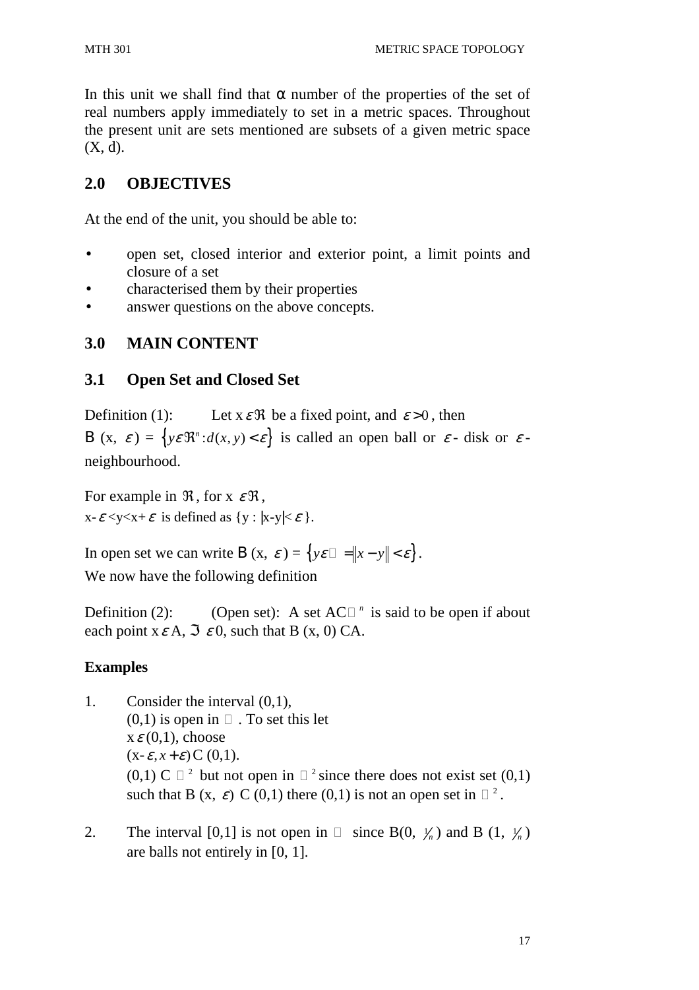In this unit we shall find that  $\alpha$  number of the properties of the set of real numbers apply immediately to set in a metric spaces. Throughout the present unit are sets mentioned are subsets of a given metric space (X, d).

# **2.0 OBJECTIVES**

At the end of the unit, you should be able to:

- open set, closed interior and exterior point, a limit points and closure of a set
- characterised them by their properties
- answer questions on the above concepts.

## **3.0 MAIN CONTENT**

## **3.1 Open Set and Closed Set**

Definition (1): Let  $x \in \mathcal{R}$  be a fixed point, and  $\varepsilon > 0$ , then B (x,  $\varepsilon$ ) = { $y \in \mathbb{R}^n : d(x, y) < \varepsilon$ } is called an open ball or  $\varepsilon$ - disk or  $\varepsilon$ neighbourhood.

For example in  $\Re$ , for x  $\mathcal{E} \Re$ ,  $x-\varepsilon < y < x+\varepsilon$  is defined as  $\{y : |x-y| < \varepsilon \}$ .

In open set we can write B (x,  $\varepsilon$ ) = {*y* $\varepsilon$  = |x-y|| <  $\varepsilon$  }. We now have the following definition

Definition (2): (Open set): A set AC  $<sup>n</sup>$  is said to be open if about</sup> each point  $x \in A$ ,  $\Im \varepsilon$  0, such that B (x, 0) CA.

### **Examples**

- 1. Consider the interval (0,1),  $(0,1)$  is open in . To set this let  $x \in (0,1)$ , choose  $(x-\varepsilon, x+\varepsilon)$   $C(0,1)$ .  $(0,1)$  C  $^{-2}$  but not open in  $^{-2}$  since there does not exist set  $(0,1)$ such that B (x,  $\varepsilon$ ) C (0,1) there (0,1) is not an open set in <sup>2</sup>.
- 2. The interval  $[0,1]$  is not open in  $\chi_n$ ) and B (1,  $\chi_n$ ) are balls not entirely in [0, 1].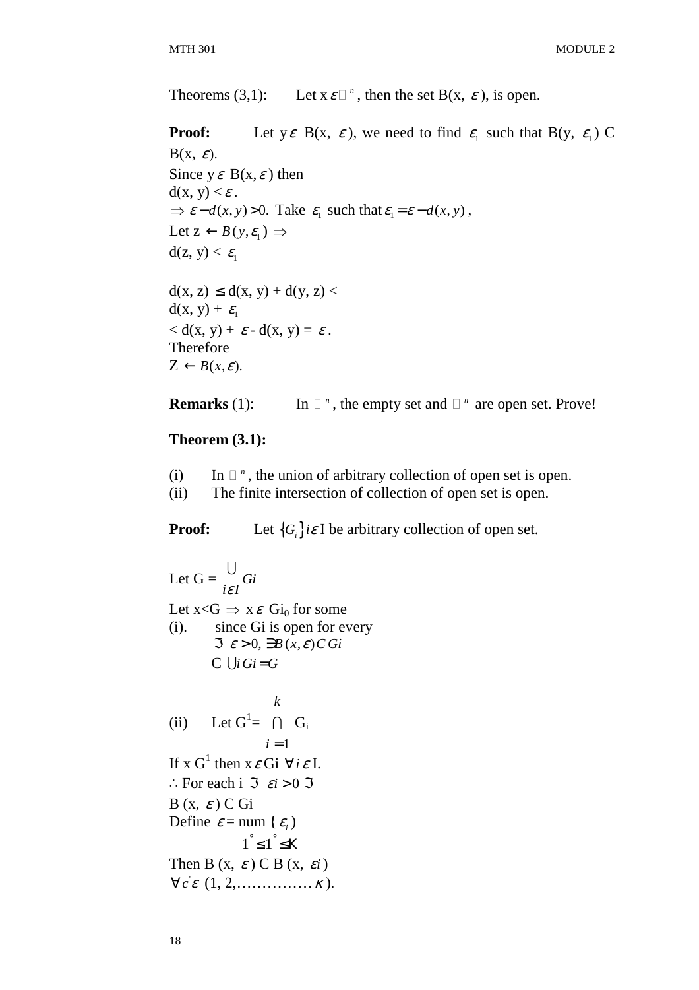Theorems  $(3,1)$ : Let  $x \varepsilon^{-n}$ , then the set  $B(x, \varepsilon)$ , is open.

**Proof:** Let  $y \in B(x, \varepsilon)$ , we need to find  $\varepsilon_1$  such that  $B(y, \varepsilon_1)$  C  $B(x, \varepsilon)$ . Since  $y \varepsilon B(x, \varepsilon)$  then  $d(x, y) < \varepsilon$ .  $\Rightarrow$   $\varepsilon - d(x, y) > 0$ . Take  $\varepsilon_1$  such that  $\varepsilon_1 = \varepsilon - d(x, y)$ , Let  $z \leftarrow B(y, \varepsilon_1) \Rightarrow$  $d(z, y) < \varepsilon_1$  $d(x, z) \leq d(x, y) + d(y, z)$  $d(x, y) + \varepsilon_1$  $d(x, y) + \varepsilon - d(x, y) = \varepsilon$ . Therefore  $Z \leftarrow B(x, \varepsilon)$ .

**Remarks** (1): In 
$$
\pi
$$
, the empty set and  $\pi$  are open set. Prove!

#### **Theorem (3.1):**

- (i) In *<sup>n</sup>* , the union of arbitrary collection of open set is open.
- (ii) The finite intersection of collection of open set is open.

**Proof:** Let  ${G_i}{i\varepsilon I}$  be arbitrary collection of open set.

Let  $G = \bigcup_i G_i$ *iε1* U Let  $x < G \Rightarrow x \in Gi_0$  for some (i). since Gi is open for every  $\Im \ \varepsilon > 0$ ,  $\nexists B(x, \varepsilon) \, \widehat{C} \, Gi$  $C \cup i$  *Gi* = *G* (ii) Let  $G^1 = \bigcap G_i$  $i=1$ *k* If x  $G^1$  then  $x \in G$ i  $\forall i \in I$ . : For each i  $\Im$   $\varepsilon$ *i* > 0  $\Im$  $B(x, \varepsilon) C$  Gi Define  $\varepsilon$  = num { $\varepsilon$ <sub>i</sub>)  $1^\circ \leq 1^\circ \leq K$ Then B  $(x, \varepsilon)$  C B  $(x, \varepsilon i)$  $\forall c \in (1, 2, \ldots, \ldots, \kappa).$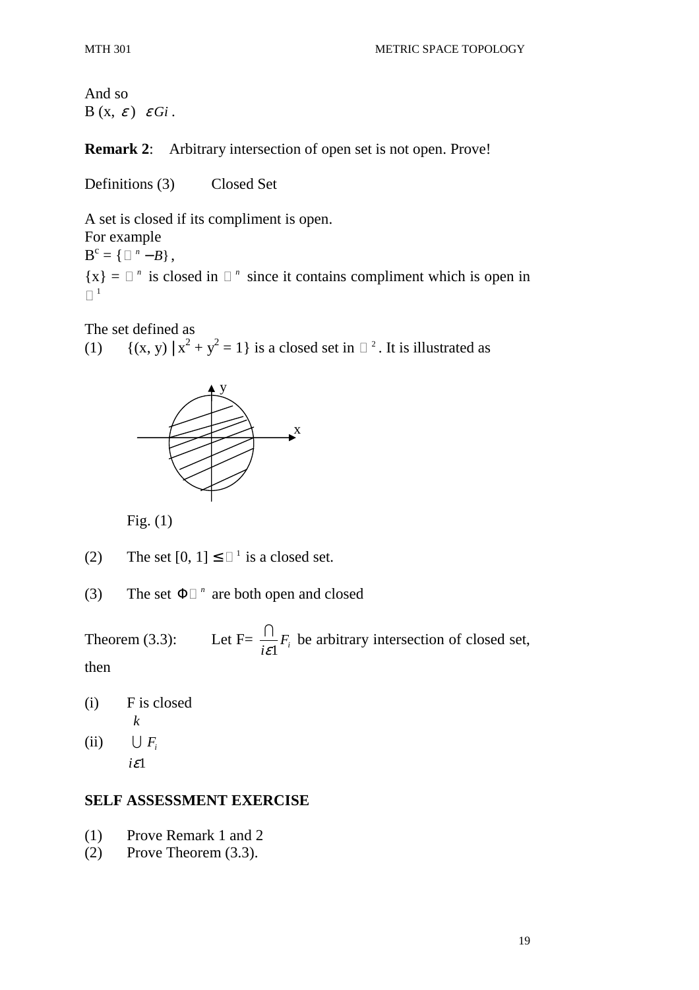And so  $B(x, \varepsilon) \varepsilon G$ *i*.

**Remark 2**: Arbitrary intersection of open set is not open. Prove!

Definitions (3) Closed Set

A set is closed if its compliment is open. For example  $B^{c} = \{ \quad ^{n} - B\},$  ${x} = n$  is closed in *n* since it contains compliment which is open in 1

The set defined as

(1)  $\{(x, y) | x^2 + y^2 = 1\}$  is a closed set in <sup>2</sup>. It is illustrated as



Fig.  $(1)$ 

- (2) The set  $[0, 1] \leq \square$  is a closed set.
- (3) The set  $\Phi$ <sup>n</sup> are both open and closed

Theorem  $(3.3)$ :  $\frac{1}{i\varepsilon}$ <sup>*F<sub>i</sub>*</sup>  $\bigcap_{i=1}^{\infty} F_i$  be arbitrary intersection of closed set,

then

(i) F is closed (ii)  $\bigcup$   $F_i$ *k*

1 *i*ε

#### **SELF ASSESSMENT EXERCISE**

- (1) Prove Remark 1 and 2
- (2) Prove Theorem (3.3).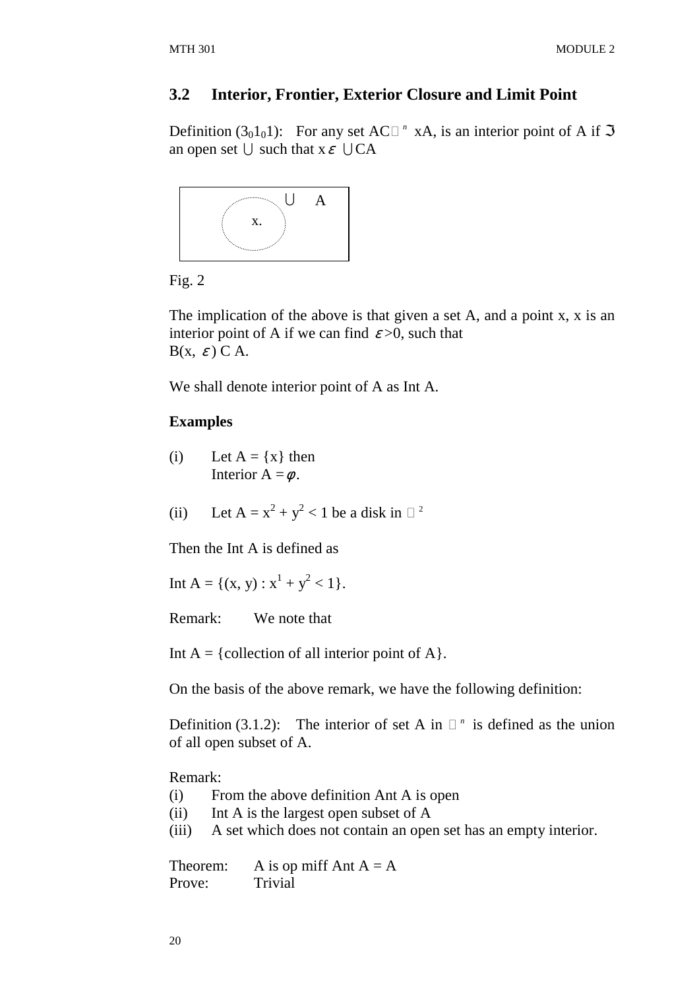#### **3.2 Interior, Frontier, Exterior Closure and Limit Point**

Definition  $(3<sub>0</sub>1<sub>0</sub>1)$ : For any set AC <sup>n</sup> xA, is an interior point of A if  $\Im$ an open set  $\bigcup$  such that  $x \in \bigcup CA$ 



Fig. 2

The implication of the above is that given a set A, and a point x, x is an interior point of A if we can find  $\varepsilon > 0$ , such that  $B(x, \varepsilon) C A$ .

We shall denote interior point of A as Int A.

### **Examples**

- (i) Let  $A = \{x\}$  then Interior  $A = \phi$ .
- (ii) Let  $A = x^2 + y^2 < 1$  be a disk in <sup>2</sup>

Then the Int A is defined as

Int A = {(x, y) :  $x^1 + y^2 < 1$  }.

Remark: We note that

Int  $A = \{$  collection of all interior point of A $\}$ .

On the basis of the above remark, we have the following definition:

Definition  $(3.1.2)$ : The interior of set A in  $n$  is defined as the union of all open subset of A.

Remark:

- (i) From the above definition Ant A is open
- (ii) Int A is the largest open subset of A
- (iii) A set which does not contain an open set has an empty interior.

Theorem: A is op miff Ant  $A = A$ Prove: Trivial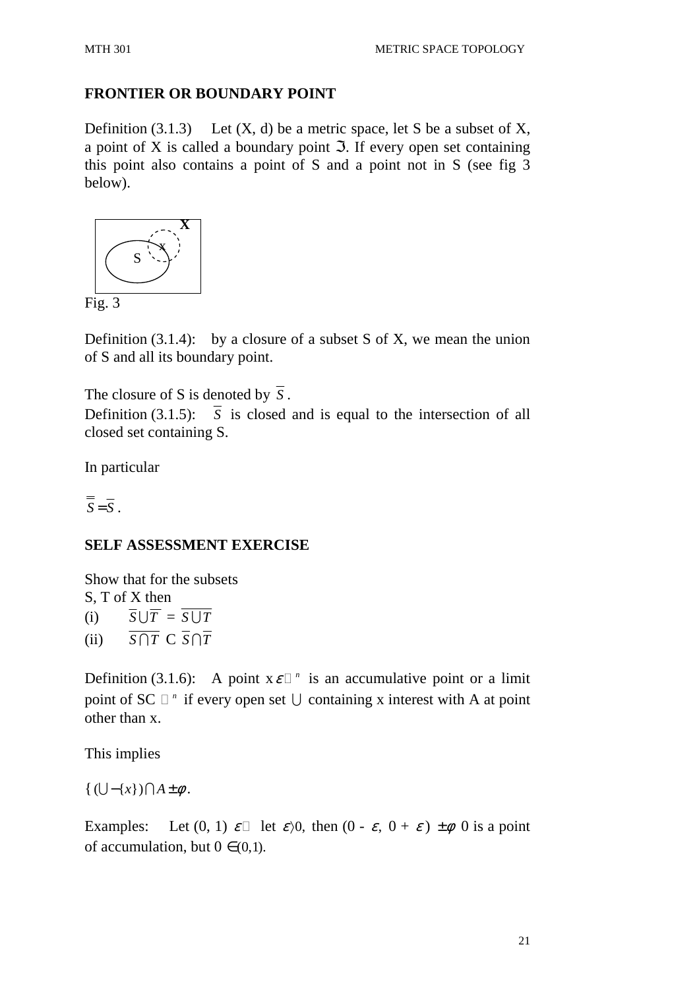#### **FRONTIER OR BOUNDARY POINT**

Definition  $(3.1.3)$  Let  $(X, d)$  be a metric space, let S be a subset of X, a point of X is called a boundary point  $\Im$ . If every open set containing this point also contains a point of S and a point not in S (see fig 3 below).



Definition  $(3.1.4)$ : by a closure of a subset S of X, we mean the union of S and all its boundary point.

The closure of S is denoted by  $\overline{S}$ . Definition (3.1.5):  $\overline{S}$  is closed and is equal to the intersection of all closed set containing S.

In particular

 $\overline{\overline{S}} = \overline{S}$ .

#### **SELF ASSESSMENT EXERCISE**

Show that for the subsets S, T of X then (i)  $\overline{S} \cup \overline{T} = \overline{S \cup T}$ 

(ii)  $\overline{S \cap T} \subset \overline{S} \cap \overline{T}$ 

Definition (3.1.6): A point  $x \varepsilon^{-n}$  is an accumulative point or a limit point of SC  $^n$  if every open set  $\bigcup$  containing x interest with A at point other than x.

This implies

 $\{ (\bigcup -\{x\}) \bigcap A \pm \phi.$ 

Examples: Let  $(0, 1) \varepsilon$  let  $\varepsilon$ ) $0$ , then  $(0 - \varepsilon, 0 + \varepsilon) \pm \phi$  0 is a point of accumulation, but  $0 \in (0,1)$ .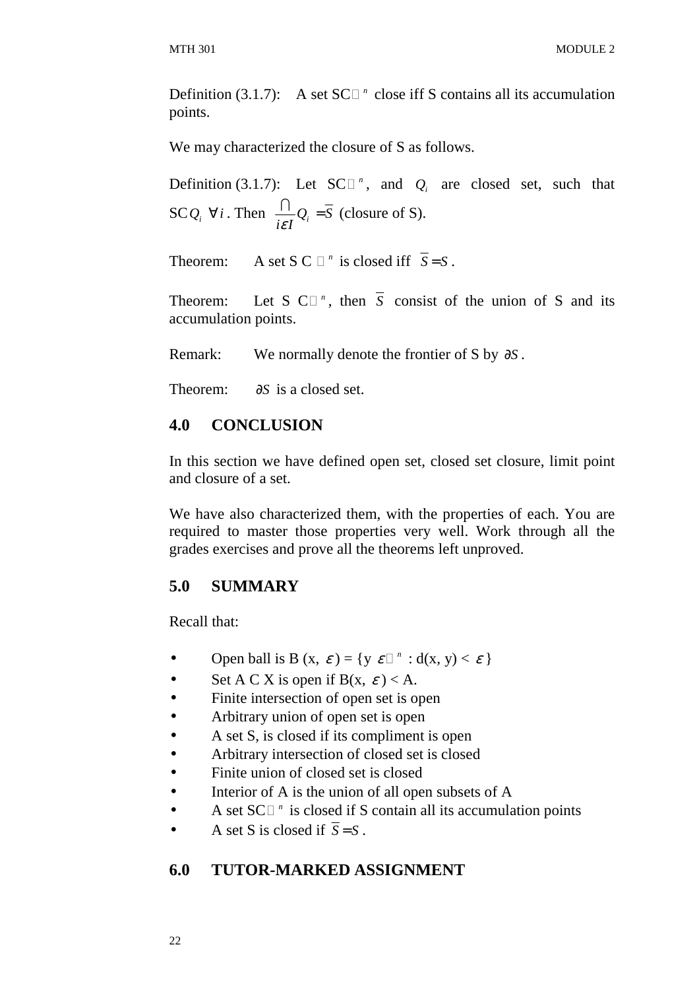Definition  $(3.1.7)$ : A set SC  $^n$  close iff S contains all its accumulation points.

We may characterized the closure of S as follows.

Definition (3.1.7): Let SC  $\textdegree$ , and  $\textdegree Q_i$  are closed set, such that  $SCQ_i \quad \forall i$ . Then  $\frac{1}{i\epsilon I}Q_i = S$ =  $\frac{\bigcap}{\cdot} Q_i = \overline{S}$  (closure of S).

Theorem: A set S C  $^n$  is closed iff  $S = S$ .

Theorem: Let  $S \subset \mathbb{R}^n$ , then  $S$  consist of the union of  $S$  and its accumulation points.

Remark: We normally denote the frontier of S by ∂*S* .

Theorem: ∂*S* is a closed set.

## **4.0 CONCLUSION**

In this section we have defined open set, closed set closure, limit point and closure of a set.

We have also characterized them, with the properties of each. You are required to master those properties very well. Work through all the grades exercises and prove all the theorems left unproved.

### **5.0 SUMMARY**

Recall that:

- Open ball is B  $(x, \varepsilon) = \{y \varepsilon^{-n} : d(x, y) < \varepsilon \}$
- Set A C X is open if  $B(x, \varepsilon) < A$ .
- Finite intersection of open set is open
- Arbitrary union of open set is open
- A set S, is closed if its compliment is open
- Arbitrary intersection of closed set is closed
- Finite union of closed set is closed
- Interior of A is the union of all open subsets of A
- A set SC <sup>*n*</sup> is closed if S contain all its accumulation points
- A set S is closed if  $\overline{S} = S$ .

#### **6.0 TUTOR-MARKED ASSIGNMENT**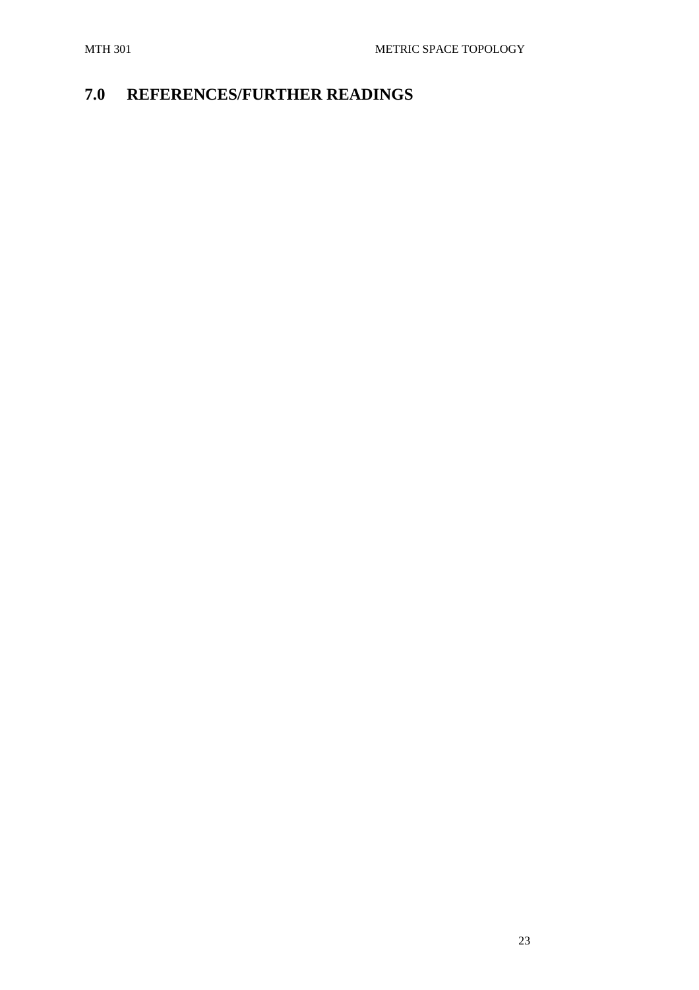# **7.0 REFERENCES/FURTHER READINGS**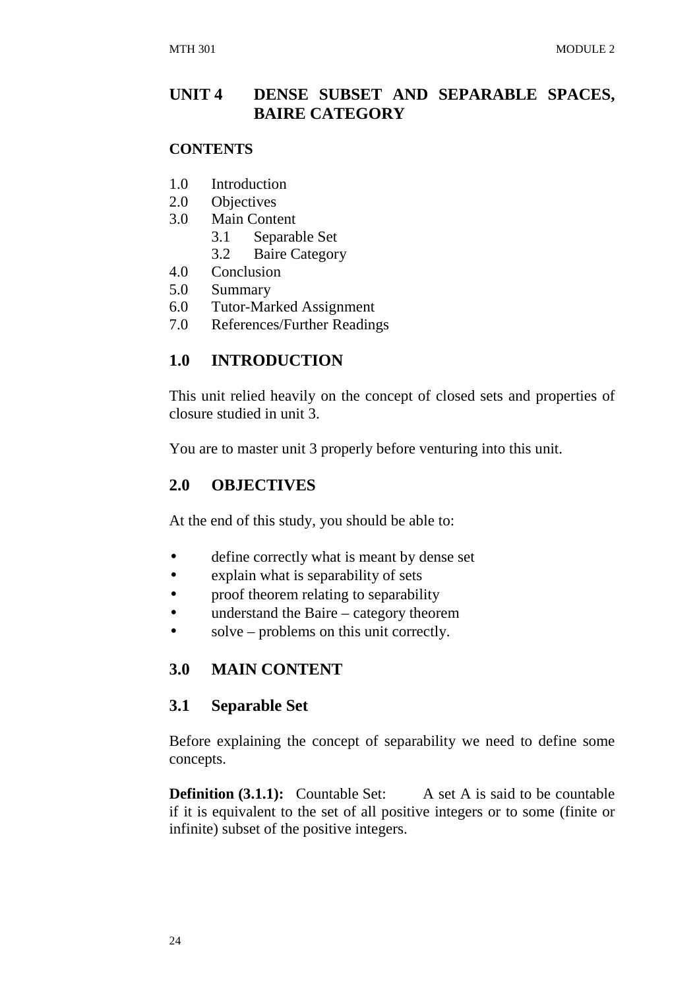### **UNIT 4 DENSE SUBSET AND SEPARABLE SPACES, BAIRE CATEGORY**

#### **CONTENTS**

- 1.0 Introduction
- 2.0 Objectives
- 3.0 Main Content
	- 3.1 Separable Set
	- 3.2 Baire Category
- 4.0 Conclusion
- 5.0 Summary
- 6.0 Tutor-Marked Assignment
- 7.0 References/Further Readings

### **1.0 INTRODUCTION**

This unit relied heavily on the concept of closed sets and properties of closure studied in unit 3.

You are to master unit 3 properly before venturing into this unit.

### **2.0 OBJECTIVES**

At the end of this study, you should be able to:

- define correctly what is meant by dense set
- explain what is separability of sets
- proof theorem relating to separability
- understand the Baire category theorem
- solve problems on this unit correctly.

### **3.0 MAIN CONTENT**

### **3.1 Separable Set**

Before explaining the concept of separability we need to define some concepts.

**Definition (3.1.1):** Countable Set: A set A is said to be countable if it is equivalent to the set of all positive integers or to some (finite or infinite) subset of the positive integers.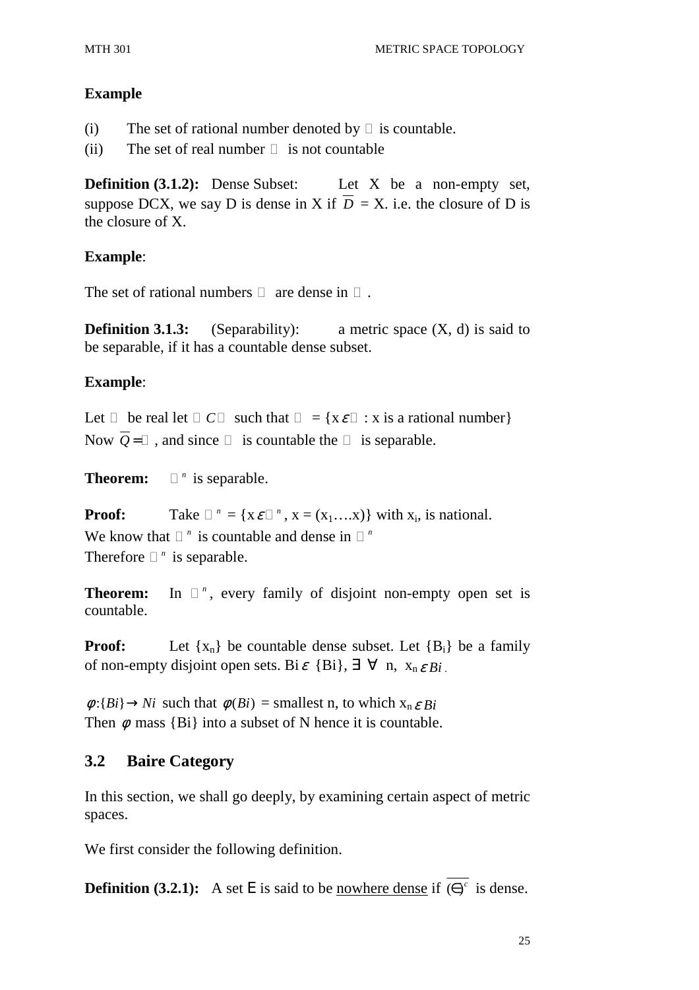#### **Example**

(i) The set of rational number denoted by is countable.

(ii) The set of real number is not countable

**Definition (3.1.2):** Dense Subset: Let X be a non-empty set, suppose DCX, we say D is dense in X if  $\overline{D} = X$ , i.e. the closure of D is the closure of X.

#### **Example**:

The set of rational numbers are dense in

**Definition 3.1.3:** (Separability): a metric space (X, d) is said to be separable, if it has a countable dense subset.

#### **Example**:

Let be real let  $C$  such that  $= \{x \varepsilon : x \text{ is a rational number} \}$ Now  $\overline{O}$  = , and since is countable the is separable.

**Theorem:** *<sup>n</sup>*  $\overline{\phantom{a}}$  is separable.

**Proof:** Take  $^{n} = \{x \in \mathbb{R}^n : x = (x_1, \dots, x)\}$  with  $x_i$ , is national. We know that  $n$  is countable and dense in  $n$ Therefore *<sup>n</sup>*  $\frac{n}{s}$  is separable.

**Theorem:** In *<sup>n</sup>* , every family of disjoint non-empty open set is countable.

**Proof:** Let  $\{x_n\}$  be countable dense subset. Let  $\{B_i\}$  be a family of non-empty disjoint open sets. Bi $\varepsilon$  {Bi},  $\exists \forall$  n,  $x_n \varepsilon B_i$ .

 $\phi$ :{*Bi*}  $\rightarrow$ *Ni* such that  $\phi$ (*Bi*) = smallest n, to which  $x_n \in B_i$ Then  $\phi$  mass {Bi} into a subset of N hence it is countable.

### **3.2 Baire Category**

In this section, we shall go deeply, by examining certain aspect of metric spaces.

We first consider the following definition.

**Definition (3.2.1):** A set E is said to be nowhere dense if  $\overline{(e)^c}$  is dense.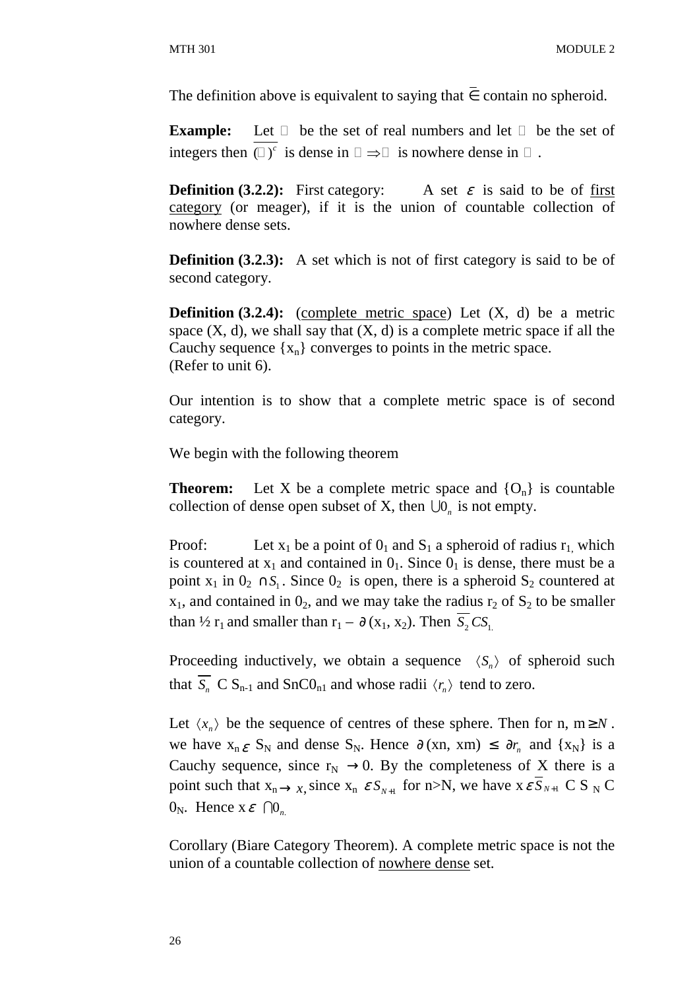The definition above is equivalent to saying that  $\overline{\epsilon}$  contain no spheroid.

**Example:** Let be the set of real numbers and let be the set of integers then  $(y^c)$  is dense in  $\implies$  is nowhere dense in .

**Definition (3.2.2):** First category: A set  $\varepsilon$  is said to be of first category (or meager), if it is the union of countable collection of nowhere dense sets.

**Definition (3.2.3):** A set which is not of first category is said to be of second category.

**Definition (3.2.4):** (complete metric space) Let (X, d) be a metric space  $(X, d)$ , we shall say that  $(X, d)$  is a complete metric space if all the Cauchy sequence  $\{x_n\}$  converges to points in the metric space. (Refer to unit 6).

Our intention is to show that a complete metric space is of second category.

We begin with the following theorem

**Theorem:** Let X be a complete metric space and  $\{O_n\}$  is countable collection of dense open subset of X, then  $\bigcup_{n}$  is not empty.

Proof: Let  $x_1$  be a point of  $0_1$  and  $S_1$  a spheroid of radius  $r_1$ , which is countered at  $x_1$  and contained in  $0_1$ . Since  $0_1$  is dense, there must be a point  $x_1$  in  $0_2 \cap S_1$ . Since  $0_2$  is open, there is a spheroid  $S_2$  countered at  $x_1$ , and contained in  $0_2$ , and we may take the radius  $r_2$  of  $S_2$  to be smaller than  $\frac{1}{2}$  r<sub>1</sub> and smaller than r<sub>1</sub> –  $\partial$  (x<sub>1</sub>, x<sub>2</sub>). Then *S*, *CS*<sub>1</sub>.

Proceeding inductively, we obtain a sequence  $\langle S_n \rangle$  of spheroid such that  $S_n$  C  $S_{n-1}$  and  $SnCO_{n1}$  and whose radii  $\langle r_n \rangle$  tend to zero.

Let  $\langle x_n \rangle$  be the sequence of centres of these sphere. Then for n, m  $\geq N$ . we have  $x_n \varepsilon S_N$  and dense  $S_N$ . Hence  $\partial (xn, xm) \leq \partial r_n$  and  $\{x_N\}$  is a Cauchy sequence, since  $r_N \rightarrow 0$ . By the completeness of X there is a point such that  $x_n \rightarrow x$ , since  $x_n \, \varepsilon S_{N+1}$  for n>N, we have  $x \, \varepsilon S_{N+1}$  C S <sub>N</sub> C  $0_N$ . Hence  $x \in \bigcap_{n_N} 0$ 

Corollary (Biare Category Theorem). A complete metric space is not the union of a countable collection of nowhere dense set.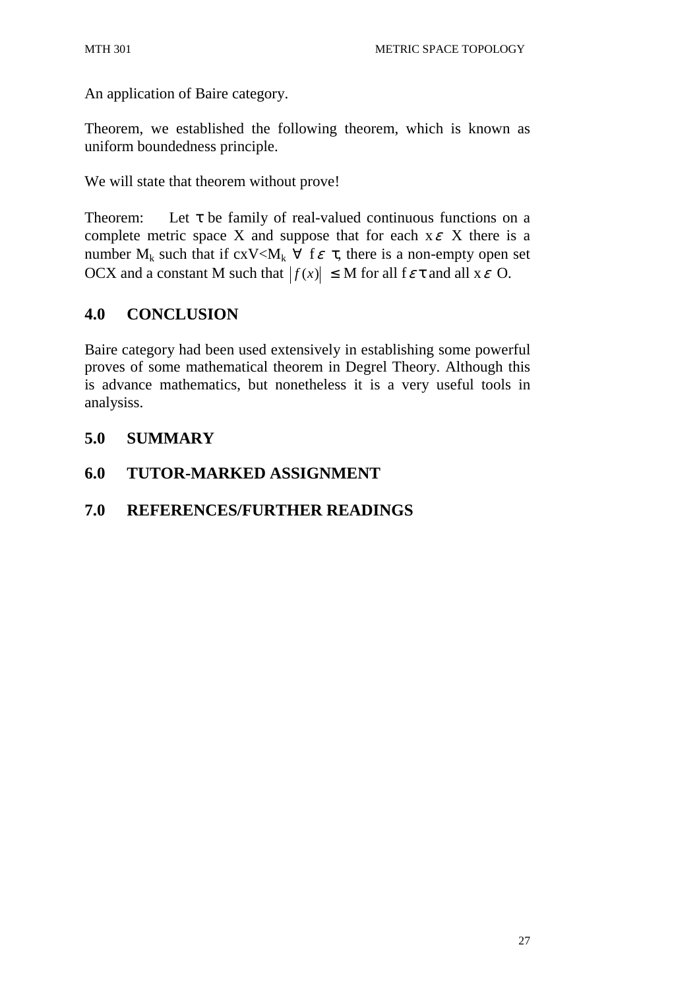An application of Baire category.

Theorem, we established the following theorem, which is known as uniform boundedness principle.

We will state that theorem without prove!

Theorem: Let  $\tau$  be family of real-valued continuous functions on a complete metric space X and suppose that for each  $x \in X$  there is a number  $M_k$  such that if  $cxV < M_k \forall$  f  $\varepsilon \tau$ , there is a non-empty open set OCX and a constant M such that  $|f(x)| \leq M$  for all  $f \in \tau$  and all  $x \in O$ .

## **4.0 CONCLUSION**

Baire category had been used extensively in establishing some powerful proves of some mathematical theorem in Degrel Theory. Although this is advance mathematics, but nonetheless it is a very useful tools in analysiss.

### **5.0 SUMMARY**

### **6.0 TUTOR-MARKED ASSIGNMENT**

### **7.0 REFERENCES/FURTHER READINGS**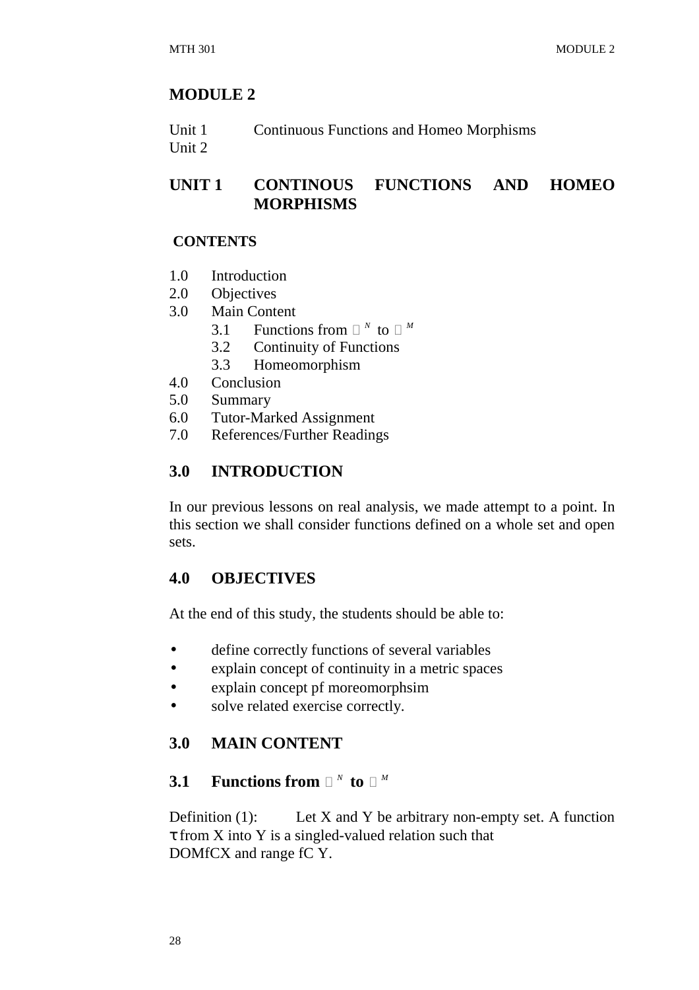### **MODULE 2**

| Unit 1 | <b>Continuous Functions and Homeo Morphisms</b> |
|--------|-------------------------------------------------|
| Unit 2 |                                                 |

## **UNIT 1 CONTINOUS FUNCTIONS AND HOMEO MORPHISMS**

#### **CONTENTS**

- 1.0 Introduction
- 2.0 Objectives
- 3.0 Main Content
- 3.1 Functions from <sup>N</sup> to <sup>M</sup>
	- 3.2 Continuity of Functions
	- 3.3 Homeomorphism
- 4.0 Conclusion
- 5.0 Summary
- 6.0 Tutor-Marked Assignment
- 7.0 References/Further Readings

### **3.0 INTRODUCTION**

In our previous lessons on real analysis, we made attempt to a point. In this section we shall consider functions defined on a whole set and open sets.

#### **4.0 OBJECTIVES**

At the end of this study, the students should be able to:

- define correctly functions of several variables
- explain concept of continuity in a metric spaces
- explain concept pf moreomorphsim
- solve related exercise correctly.

#### **3.0 MAIN CONTENT**

## **3.1 Functions from**  $^N$  to  $^M$

Definition  $(1)$ : Let X and Y be arbitrary non-empty set. A function  $\tau$  from X into Y is a singled-valued relation such that DOMfCX and range fC Y.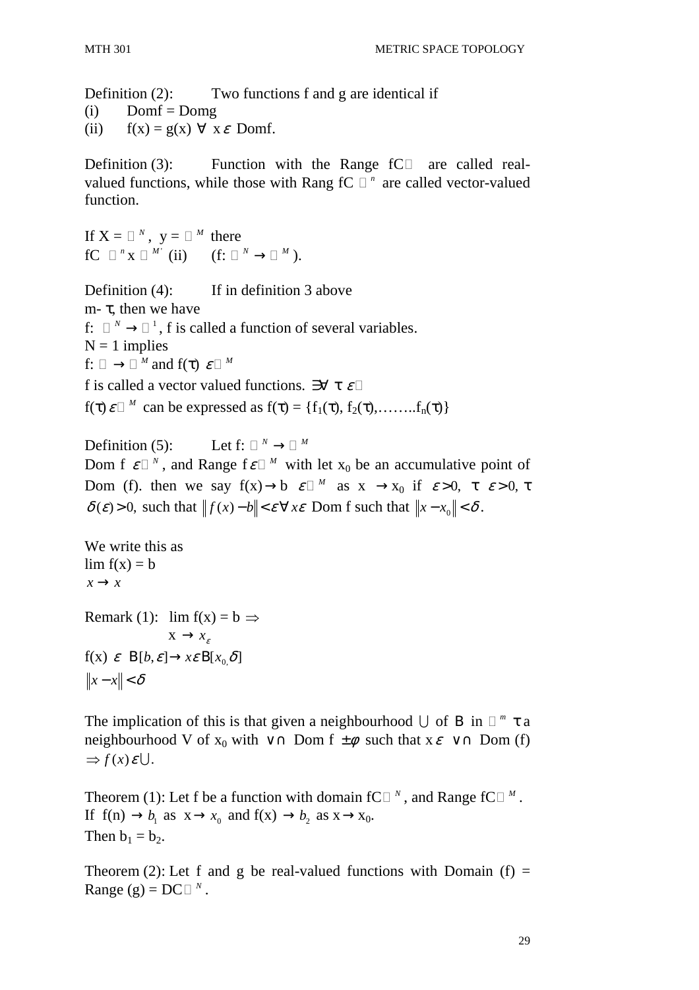Definition  $(2)$ : Two functions f and g are identical if

 $(i)$  Domf = Domg

(ii)  $f(x) = g(x) \forall x \in \text{Dom}f$ .

Definition (3): Function with the Range fC are called realvalued functions, while those with Rang fC <sup>n</sup> are called vector-valued function.

If  $X = \gamma$ ,  $y = \gamma$  there  $fC \quad {}^{n}x \quad {}^{M'}$  (ii) (f:  ${}^{N} \rightarrow {}^{M}$ ).

Definition (4): If in definition 3 above m-  $τ$ , then we have f:  $N \rightarrow 1$ , f is called a function of several variables.  $N = 1$  implies f:  $\rightarrow$  *M* and f(τ)  $\varepsilon$  *M* f is called a vector valued functions.  $\partial \forall \tau \in \mathcal{E}$  $f(\tau) \varepsilon^{M}$  can be expressed as  $f(\tau) = \{f_1(\tau), f_2(\tau), \dots, f_n(\tau)\}\$ 

Definition (5): Let f:  $N \rightarrow M$ Dom f  $\varepsilon^{-N}$ , and Range f $\varepsilon^{-M}$  with let  $x_0$  be an accumulative point of Dom (f). then we say  $f(x) \rightarrow b$   $\varepsilon$  <sup>*M*</sup> as  $x \rightarrow x_0$  if  $\varepsilon > 0$ ,  $\tau \varepsilon > 0$ ,  $\tau$  $\delta(\varepsilon) > 0$ , such that  $|| f(x) - b || \leq \varepsilon \,\forall x \varepsilon$  Dom f such that  $||x - x_0|| < \delta$ .

```
We write this as 
\lim f(x) = bx \rightarrow xRemark (1): \lim f(x) = b \RightarrowX \rightarrow x_cf(x) \varepsilon B[b, \varepsilon] \rightarrow x \varepsilon B[x, \delta]||x-x|| < δ
```
The implication of this is that given a neighbourhood  $\bigcup$  of B in  $\pi$   $\tau$  a neighbourhood V of  $x_0$  with ∨ ∩ Dom f  $\pm \phi$  such that  $x \in \vee \cap$  Dom (f)  $\Rightarrow$   $f(x)\varepsilon \cup$ .

Theorem (1): Let f be a function with domain fC  $N$ , and Range fC  $N$ . If  $f(n) \rightarrow b_1$  as  $x \rightarrow x_0$  and  $f(x) \rightarrow b_2$  as  $x \rightarrow x_0$ . Then  $b_1 = b_2$ .

Theorem (2): Let f and g be real-valued functions with Domain (f) = Range (g) =  $DC^{-N}$ .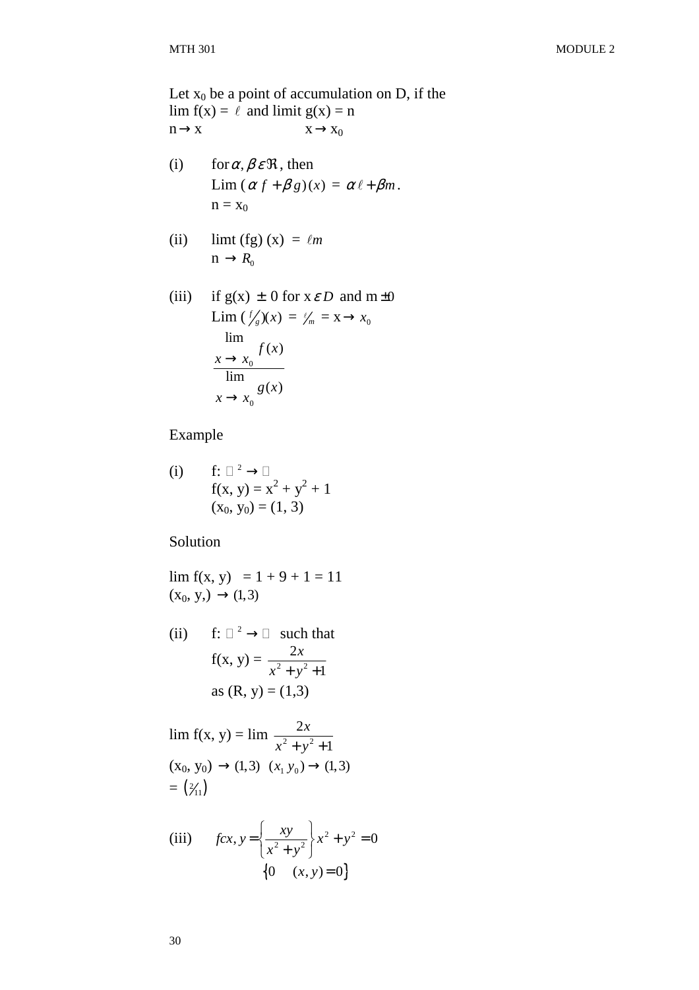Let  $x_0$  be a point of accumulation on D, if the  $\lim f(x) = \ell$  and  $\lim$ it  $g(x) = n$  $n \rightarrow x$   $x \rightarrow x_0$ 

- (i) for  $\alpha, \beta \in \mathcal{R}$ , then Lim  $(\alpha f + \beta g)(x) = \alpha \ell + \beta m$ .  $n = x_0$
- (ii) limt (fg)  $(x) = \ell m$  $n \rightarrow R_0$
- (iii) if  $g(x) \pm 0$  for  $x \in D$  and  $m \pm 0$  $\lim ( \frac{f}{g})(x) = \frac{g}{m} = x \to x_0$  $\overline{0}$ 0 lim  $(x)$ lim  $(x)$ *f x*  $x \rightarrow x$ *g x*  $x \rightarrow x$  $\rightarrow$  $\rightarrow$

Example

(i) f: 
$$
\rightarrow
$$
  
\nf(x, y) = x<sup>2</sup> + y<sup>2</sup> + 1  
\n(x<sub>0</sub>, y<sub>0</sub>) = (1, 3)

Solution

 $\lim f(x, y) = 1 + 9 + 1 = 11$  $(x_0, y) \rightarrow (1, 3)$ 

(ii) f:  $2 \rightarrow$  such that  $f(x, y) = \frac{2x}{x^2 + y^2}$ 1 *x*  $x^2 + y^2 +$ as  $(R, y) = (1,3)$ 

$$
\lim_{x \to 0} f(x, y) = \lim_{x \to 0} \frac{2x}{x^2 + y^2 + 1}
$$
\n
$$
(x_0, y_0) \to (1, 3) \quad (x_1, y_0) \to (1, 3)
$$
\n
$$
= \left(\frac{2}{11}\right)
$$

(iii) 
$$
fcx, y = \left\{ \frac{xy}{x^2 + y^2} \right\} x^2 + y^2 = 0
$$
  

$$
\left\{ 0 \quad (x, y) = 0 \right\}
$$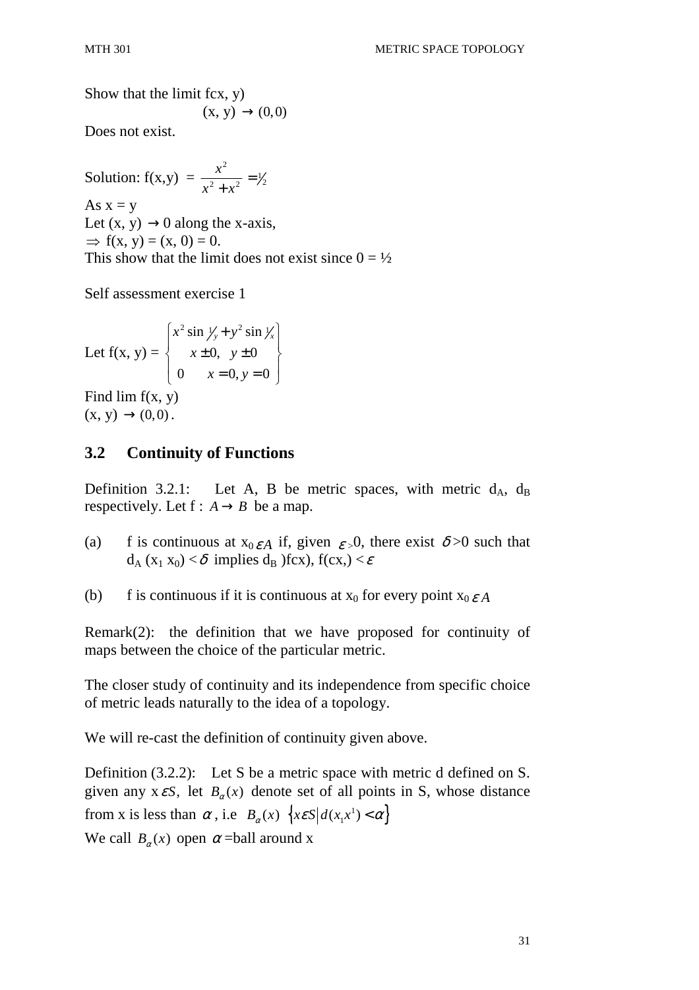Show that the limit fcx, y)  $(x, y) \rightarrow (0, 0)$ 

Does not exist.

Solution:  $f(x,y) =$ 2  $\frac{1}{2}$   $\frac{1}{2}$   $\frac{1}{2}$  =  $\frac{1}{2}$ *x*  $x^2 + x$ = + As  $x = y$ Let  $(x, y) \rightarrow 0$  along the x-axis,  $\Rightarrow$  f(x, y) = (x, 0) = 0. This show that the limit does not exist since  $0 = \frac{1}{2}$ 

Self assessment exercise 1

Let  $f(x, y) =$  $2 \sin \frac{1}{2} + y^2 \sin \frac{1}{2}$ 0,  $y \pm 0$ 0  $x = 0, y = 0$  $x^2 \sin \frac{1}{y} + y^2 \sin \frac{1}{x}$  $x \pm 0$ , y  $x = 0, y$  $\left(x^2 \sin \frac{1}{2} + y^2 \sin \frac{1}{x}\right)$  $\left\{\begin{array}{c} \sqrt{2} & x \pm 0, y \pm 0 \end{array}\right\}$  $\begin{bmatrix} 0 & x = 0, y = 0 \end{bmatrix}$ 

Find  $\lim_{x \to 0} f(x, y)$  $(x, y) \rightarrow (0,0)$ .

### **3.2 Continuity of Functions**

Definition 3.2.1: Let A, B be metric spaces, with metric  $d_A$ ,  $d_B$ respectively. Let  $f : A \rightarrow B$  be a map.

- (a) f is continuous at  $x_0 \epsilon A$  if, given  $\epsilon > 0$ , there exist  $\delta > 0$  such that  $d_A(x_1 x_0) < \delta$  implies  $d_B$  )fcx),  $f(cx) < \varepsilon$
- (b) f is continuous if it is continuous at  $x_0$  for every point  $x_0 \varepsilon A$

Remark(2): the definition that we have proposed for continuity of maps between the choice of the particular metric.

The closer study of continuity and its independence from specific choice of metric leads naturally to the idea of a topology.

We will re-cast the definition of continuity given above.

Definition (3.2.2): Let S be a metric space with metric d defined on S. given any  $x \in S$ , let  $B_\alpha(x)$  denote set of all points in S, whose distance from x is less than  $\alpha$ , i.e  $B_{\alpha}(x) \{x \in S | d(x_1x^1) < \alpha \}$  $x \varepsilon S \Big| d(x_1 x^1) < \alpha$ We call  $B_{\alpha}(x)$  open  $\alpha$  =ball around x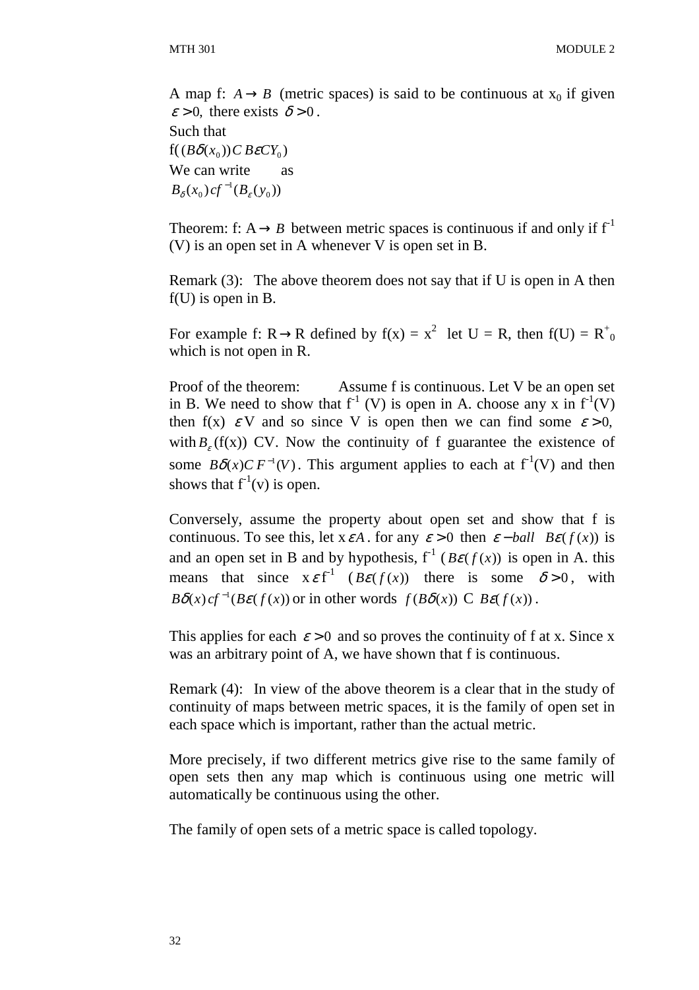A map f:  $A \rightarrow B$  (metric spaces) is said to be continuous at  $x_0$  if given  $\varepsilon > 0$ , there exists  $\delta > 0$ .

Such that  $f((B\delta(x_0))C$  *B* $\varepsilon$ *CY*<sub>0</sub>) We can write as  $B_{\delta}(x_0) cf^{-1}(B_{\varepsilon}(y_0))$ 

Theorem: f:  $A \rightarrow B$  between metric spaces is continuous if and only if  $f^{-1}$ (V) is an open set in A whenever V is open set in B.

Remark (3): The above theorem does not say that if U is open in A then f(U) is open in B.

For example f: R  $\rightarrow$  R defined by f(x) =  $x^2$  let U = R, then f(U) = R<sup>+</sup><sub>0</sub> which is not open in R.

Proof of the theorem: Assume f is continuous. Let V be an open set in B. We need to show that  $f^1$  (V) is open in A. choose any x in  $f^1(V)$ then f(x)  $\epsilon V$  and so since V is open then we can find some  $\epsilon > 0$ , with  $B_{\varepsilon}$  (f(x)) CV. Now the continuity of f guarantee the existence of some  $B\delta(x)C F^{-1}(V)$ . This argument applies to each at  $f^{-1}(V)$  and then shows that  $f^{-1}(v)$  is open.

Conversely, assume the property about open set and show that f is continuous. To see this, let  $x \in A$ . for any  $\varepsilon > 0$  then  $\varepsilon$  – *ball*  $B\varepsilon(f(x))$  is and an open set in B and by hypothesis,  $f^{-1}(B\varepsilon(f(x))$  is open in A. this means that since  $x \in f^{-1}$  ( $B\varepsilon(f(x))$  there is some  $\delta > 0$ , with  $B\delta(x) c f^{-1}(B\varepsilon(f(x))$  or in other words  $f(B\delta(x))$  C  $B\varepsilon(f(x))$ .

This applies for each  $\varepsilon > 0$  and so proves the continuity of f at x. Since x was an arbitrary point of A, we have shown that f is continuous.

Remark (4): In view of the above theorem is a clear that in the study of continuity of maps between metric spaces, it is the family of open set in each space which is important, rather than the actual metric.

More precisely, if two different metrics give rise to the same family of open sets then any map which is continuous using one metric will automatically be continuous using the other.

The family of open sets of a metric space is called topology.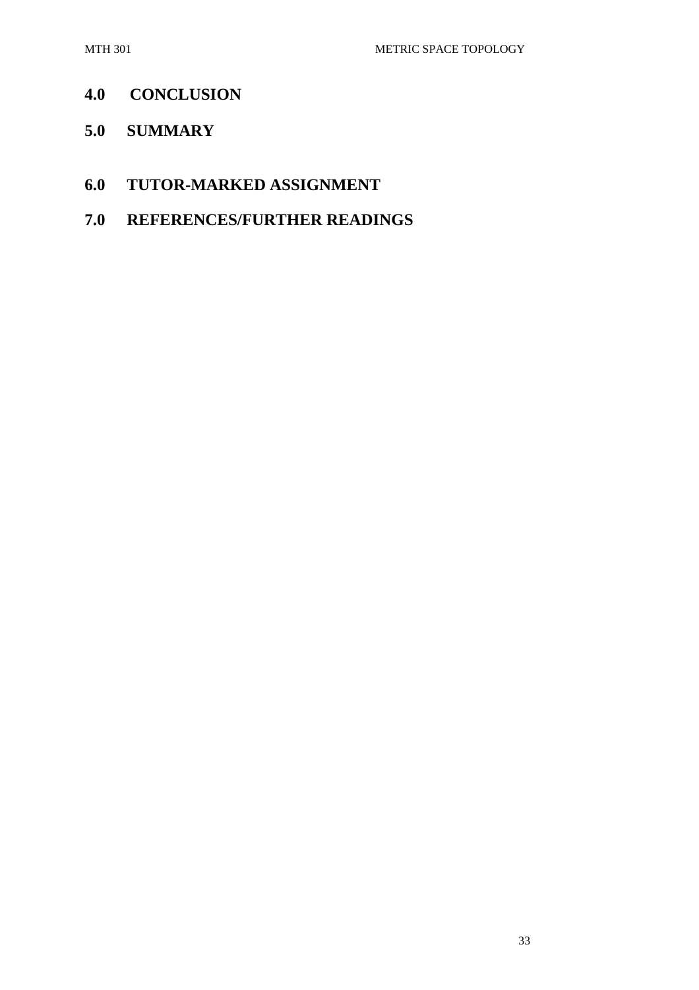# **4.0 CONCLUSION**

**5.0 SUMMARY** 

## **6.0 TUTOR-MARKED ASSIGNMENT**

**7.0 REFERENCES/FURTHER READINGS**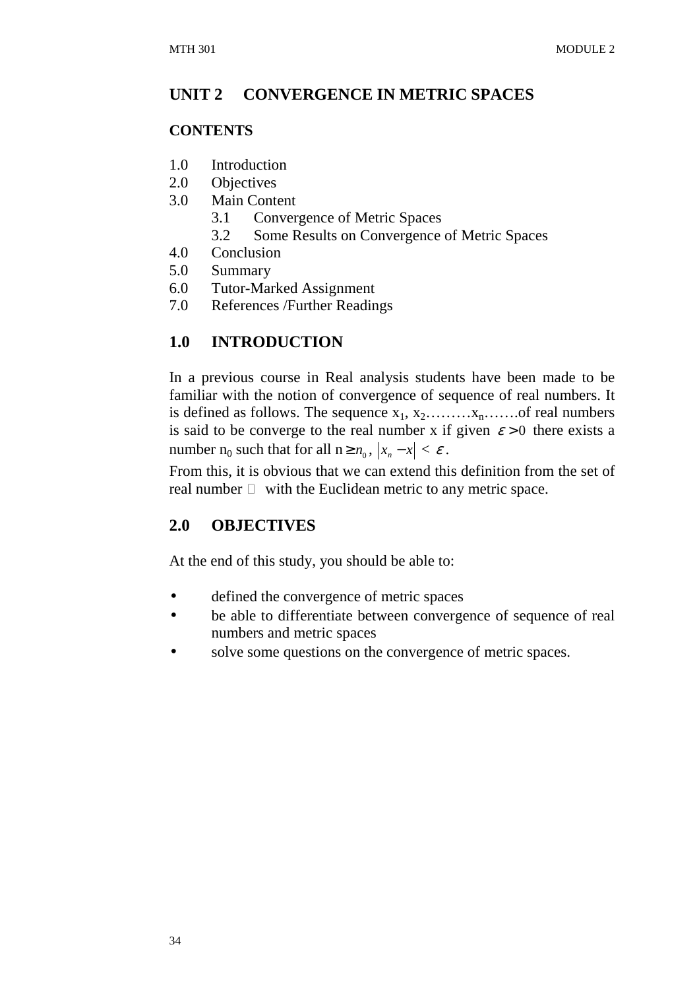## **UNIT 2 CONVERGENCE IN METRIC SPACES**

### **CONTENTS**

- 1.0 Introduction
- 2.0 Objectives
- 3.0 Main Content
	- 3.1 Convergence of Metric Spaces
	- 3.2 Some Results on Convergence of Metric Spaces
- 4.0 Conclusion
- 5.0 Summary
- 6.0 Tutor-Marked Assignment
- 7.0 References /Further Readings

# **1.0 INTRODUCTION**

In a previous course in Real analysis students have been made to be familiar with the notion of convergence of sequence of real numbers. It is defined as follows. The sequence  $x_1, x_2, \ldots, x_n, \ldots$  of real numbers is said to be converge to the real number x if given  $\varepsilon > 0$  there exists a number  $n_0$  such that for all  $n \ge n_0$ ,  $|x_n - x| < \varepsilon$ .

From this, it is obvious that we can extend this definition from the set of real number with the Euclidean metric to any metric space.

# **2.0 OBJECTIVES**

At the end of this study, you should be able to:

- defined the convergence of metric spaces
- be able to differentiate between convergence of sequence of real numbers and metric spaces
- solve some questions on the convergence of metric spaces.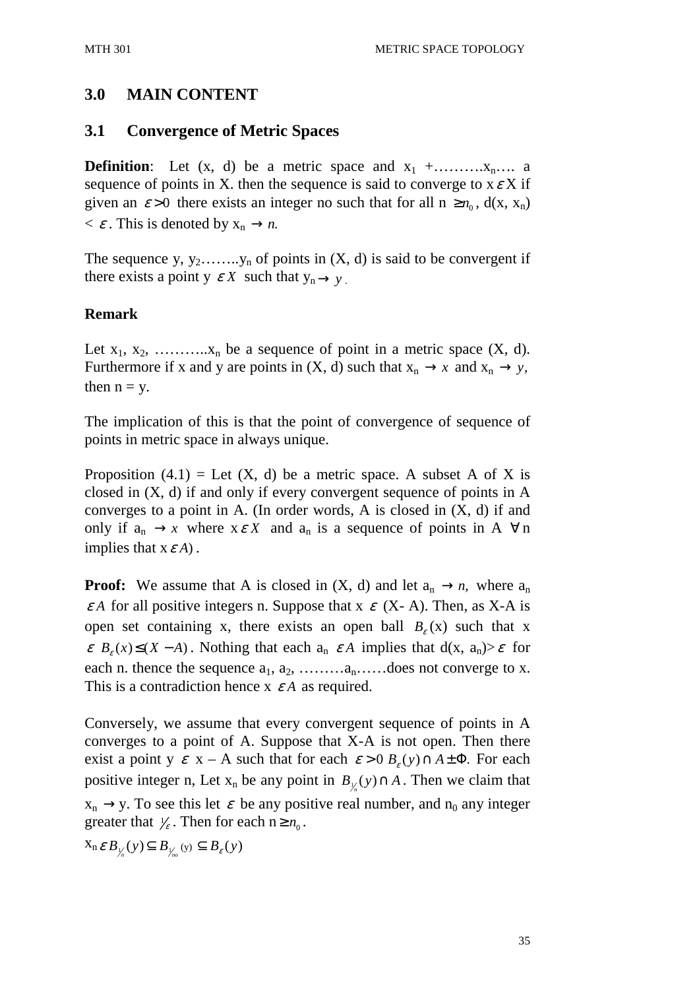## **3.0 MAIN CONTENT**

### **3.1 Convergence of Metric Spaces**

**Definition**: Let  $(x, d)$  be a metric space and  $x_1 + \ldots + x_n$ ... a sequence of points in X. then the sequence is said to converge to  $x \in X$  if given an  $\varepsilon > 0$  there exists an integer no such that for all  $n \ge n_0$ ,  $d(x, x_n)$  $\langle \varepsilon \varepsilon$ . This is denoted by  $x_n \to n$ .

The sequence y,  $y_2$ ……..y<sub>n</sub> of points in  $(X, d)$  is said to be convergent if there exists a point  $y \in X$  such that  $y_n \to y$ .

### **Remark**

Let  $x_1, x_2, \ldots, x_n$  be a sequence of point in a metric space  $(X, d)$ . Furthermore if x and y are points in  $(X, d)$  such that  $x_n \to x$  and  $x_n \to y$ , then  $n = y$ .

The implication of this is that the point of convergence of sequence of points in metric space in always unique.

Proposition (4.1) = Let  $(X, d)$  be a metric space. A subset A of X is closed in (X, d) if and only if every convergent sequence of points in A converges to a point in A. (In order words, A is closed in  $(X, d)$  if and only if  $a_n \to x$  where  $x \in X$  and  $a_n$  is a sequence of points in A  $\forall n$ implies that  $x \in A$ ).

**Proof:** We assume that A is closed in  $(X, d)$  and let  $a_n \rightarrow n$ , where  $a_n$  $\varepsilon A$  for all positive integers n. Suppose that x  $\varepsilon$  (X-A). Then, as X-A is open set containing x, there exists an open ball  $B_{\varepsilon}(x)$  such that x  $\varepsilon$  *B<sub>s</sub>*(x)  $\leq$  (X - A). Nothing that each  $a_n \varepsilon A$  implies that  $d(x, a_n) > \varepsilon$  for each n. thence the sequence  $a_1, a_2, \ldots, a_n, \ldots$  does not converge to x. This is a contradiction hence x <sup>ε</sup> *A* as required.

Conversely, we assume that every convergent sequence of points in A converges to a point of A. Suppose that X-A is not open. Then there exist a point y  $\varepsilon$  x – A such that for each  $\varepsilon > 0$   $B_{\varepsilon}(y) \cap A \pm \Phi$ . For each positive integer n, Let  $x_n$  be any point in  $B_{y_n}(y) \cap A$ . Then we claim that  $x_n \rightarrow y$ . To see this let  $\varepsilon$  be any positive real number, and  $n_0$  any integer greater that  $\frac{1}{\epsilon}$ . Then for each  $n \geq n_0$ .

 $X_n \varepsilon B_{\frac{1}{n}}(y) \subseteq B_{\frac{1}{n}}(y) \subseteq B_{\varepsilon}(y)$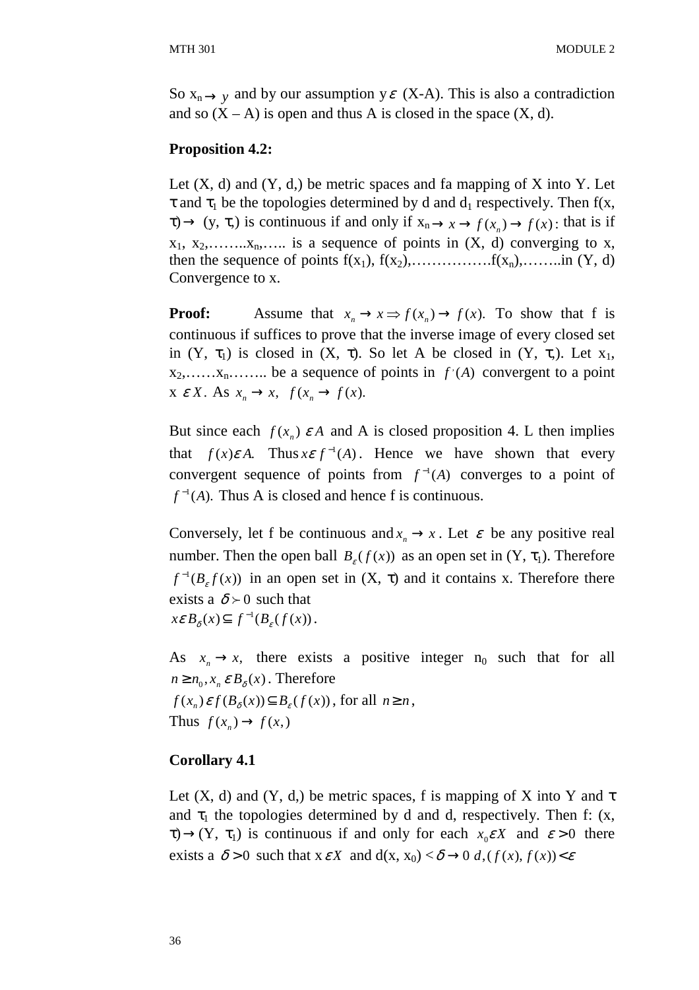So  $x_n \rightarrow y$  and by our assumption  $y \in (X-A)$ . This is also a contradiction and so  $(X - A)$  is open and thus A is closed in the space  $(X, d)$ .

#### **Proposition 4.2:**

Let  $(X, d)$  and  $(Y, d)$ , be metric spaces and fa mapping of X into Y. Let  $\tau$  and  $\tau_1$  be the topologies determined by d and  $d_1$  respectively. Then f(x,  $\tau$   $\to$  (y,  $\tau$ ,) is continuous if and only if  $x_n \to x \to f(x_n) \to f(x)$ : that is if  $x_1, x_2, \ldots, x_n, \ldots$  is a sequence of points in  $(X, d)$  converging to x, then the sequence of points f(x1), f(x2),…………….f(xn),……..in (Y, d) Convergence to x.

**Proof:** Assume that  $x_n \to x \implies f(x_n) \to f(x)$ . To show that f is continuous if suffices to prove that the inverse image of every closed set in  $(Y, \tau_1)$  is closed in  $(X, \tau)$ . So let A be closed in  $(Y, \tau_1)$ . Let  $x_1$ ,  $x_2, \ldots, x_n, \ldots$  be a sequence of points in  $f'(A)$  convergent to a point  $X \in X$ . As  $x_n \to x$ ,  $f(x_n \to f(x))$ .

But since each  $f(x_n)$   $\varepsilon A$  and A is closed proposition 4. L then implies that  $f(x)\varepsilon A$ . Thus  $x \varepsilon f^{-1}(A)$ . Hence we have shown that every convergent sequence of points from  $f^{-1}(A)$  converges to a point of  $f^{-1}(A)$ . Thus A is closed and hence f is continuous.

Conversely, let f be continuous and  $x_n \to x$ . Let  $\varepsilon$  be any positive real number. Then the open ball  $B_{\varepsilon}(f(x))$  as an open set in  $(Y, \tau_1)$ . Therefore  $f^{-1}(B<sub>\epsilon</sub> f(x))$  in an open set in  $(X, \tau)$  and it contains x. Therefore there exists a  $\delta \succ 0$  such that  $x \varepsilon B_{\delta}(x) \subseteq f^{-1}(B_{\varepsilon}(f(x))).$ 

As  $x_n \to x$ , there exists a positive integer  $n_0$  such that for all  $n \geq n_0$ ,  $x_n \varepsilon B_{\delta}(x)$ . Therefore  $f(x_n) \mathcal{E} f(B_\delta(x)) \subseteq B_\varepsilon(f(x))$ , for all  $n \ge n$ , Thus  $f(x_n) \to f(x,$ 

#### **Corollary 4.1**

Let  $(X, d)$  and  $(Y, d)$ , be metric spaces, f is mapping of X into Y and  $\tau$ and  $\tau_1$  the topologies determined by d and d, respectively. Then f: (x,  $\tau$ )  $\rightarrow$  (Y,  $\tau_1$ ) is continuous if and only for each  $x_0 \in X$  and  $\varepsilon > 0$  there exists a  $\delta > 0$  such that  $x \in X$  and  $d(x, x_0) < \delta \rightarrow 0$   $d, (f(x), f(x)) < \epsilon$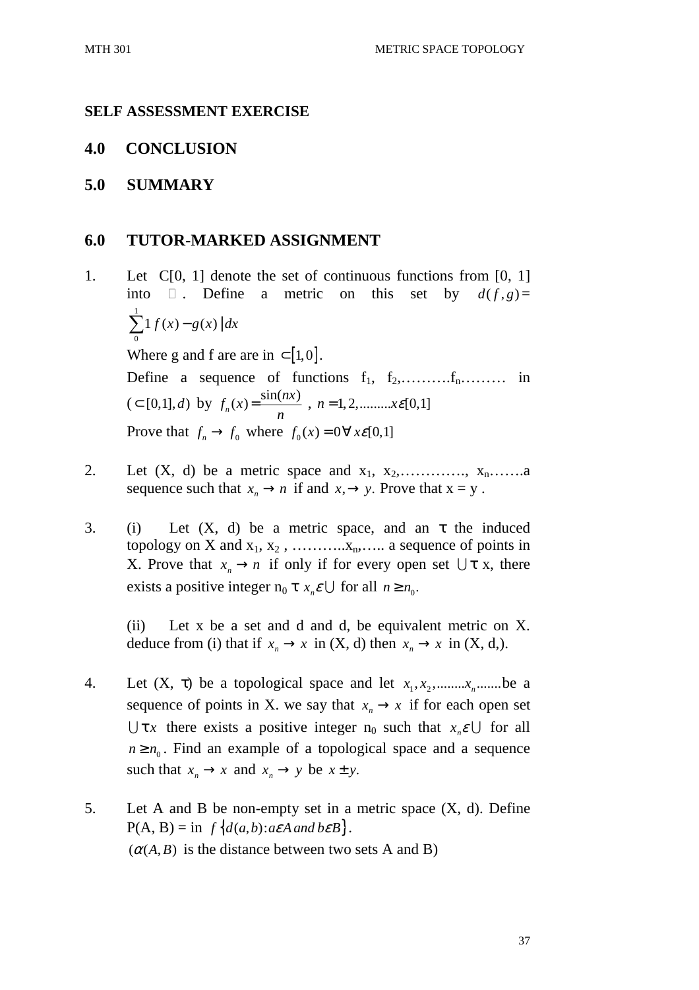#### **SELF ASSESSMENT EXERCISE**

#### **4.0 CONCLUSION**

#### **5.0 SUMMARY**

#### **6.0 TUTOR-MARKED ASSIGNMENT**

- 1. Let C[0, 1] denote the set of continuous functions from [0, 1] into . Define a metric on this set by  $d(f, g) =$ 1  $\sum_{0} 1 f(x) - g(x) | dx$ Where g and f are are in  $\subset [1,0]$ . Define a sequence of functions  $f_1, f_2, \ldots, f_n, \ldots,$  in  $(z \in [0,1], d)$  by  $f_n(x) = \frac{\sin(nx)}{n}$ *n*  $=\frac{\sin(n\lambda)}{n}, n=1,2,......x\epsilon[0,1]$ Prove that  $f_n \to f_0$  where  $f_0(x) = 0 \forall x \in [0,1]$
- 2. Let  $(X, d)$  be a metric space and  $x_1, x_2, \ldots, x_n, \ldots, x_n$ sequence such that  $x_n \to n$  if and  $x, \to y$ . Prove that  $x = y$ .
- 3. (i) Let  $(X, d)$  be a metric space, and an  $\tau$  the induced topology on X and  $x_1, x_2, \ldots, x_n, \ldots$  a sequence of points in X. Prove that  $x_n \to n$  if only if for every open set  $\bigcup \tau$  x, there exists a positive integer  $n_0 \tau x_n \in \bigcup$  for all  $n \ge n_0$ .

 (ii) Let x be a set and d and d, be equivalent metric on X. deduce from (i) that if  $x_n \to x$  in  $(X, d)$  then  $x_n \to x$  in  $(X, d)$ .

- 4. Let  $(X, \tau)$  be a topological space and let  $x_1, x_2, \ldots, x_n, \ldots$  be a sequence of points in X. we say that  $x_n \to x$  if for each open set  $\bigcup \tau$ *x* there exists a positive integer  $n_0$  such that  $x_n \in \bigcup$  for all  $n \geq n_0$ . Find an example of a topological space and a sequence such that  $x_n \to x$  and  $x_n \to y$  be  $x \pm y$ .
- 5. Let A and B be non-empty set in a metric space (X, d). Define  $P(A, B) = \inf \{ d(a, b) : a \in A \text{ and } b \in B \}.$  $(\alpha(A, B)$  is the distance between two sets A and B)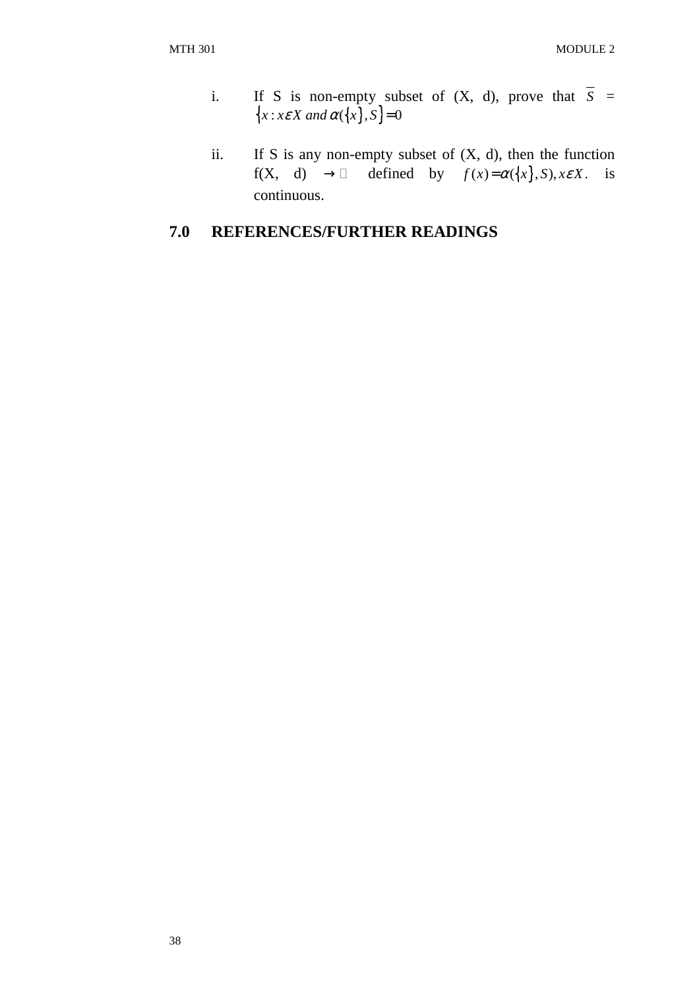- i. If S is non-empty subset of  $(X, d)$ , prove that  $\overline{S}$  =  ${x : x \in X \text{ and } \alpha({x}, s) = 0}$
- ii. If S is any non-empty subset of  $(X, d)$ , then the function f(X, d)  $\rightarrow$  defined by  $f(x) = \alpha({x}, S), x \in X$ . is continuous.

# **7.0 REFERENCES/FURTHER READINGS**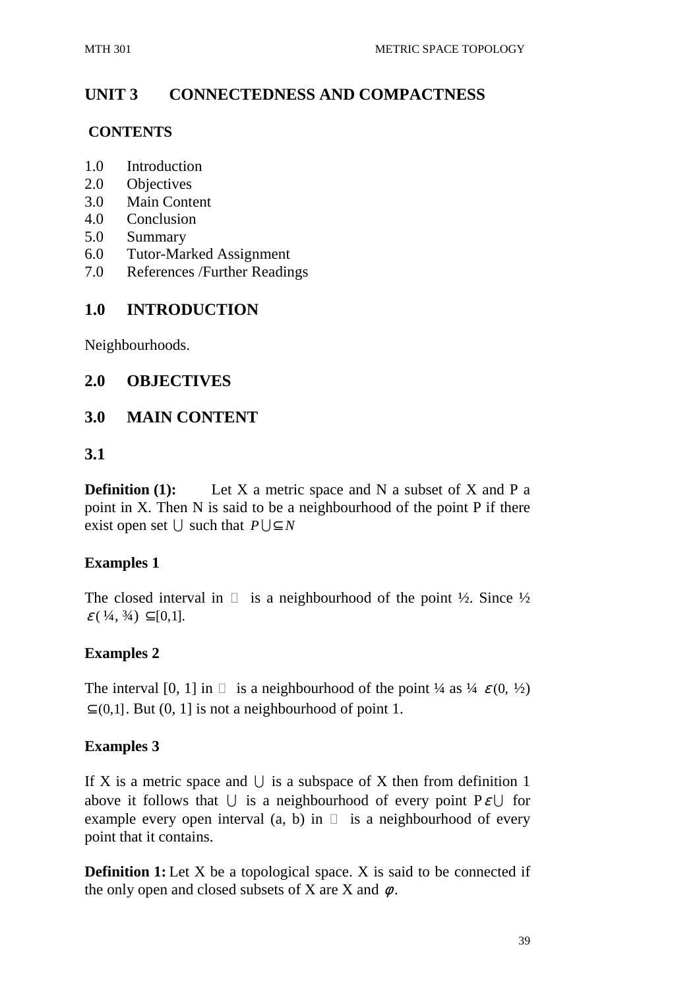# **UNIT 3 CONNECTEDNESS AND COMPACTNESS**

#### **CONTENTS**

- 1.0 Introduction
- 2.0 Objectives
- 3.0 Main Content
- 4.0 Conclusion
- 5.0 Summary
- 6.0 Tutor-Marked Assignment
- 7.0 References /Further Readings

### **1.0 INTRODUCTION**

Neighbourhoods.

### **2.0 OBJECTIVES**

### **3.0 MAIN CONTENT**

### **3.1**

**Definition (1):** Let X a metric space and N a subset of X and P a point in X. Then N is said to be a neighbourhood of the point P if there exist open set  $\bigcup$  such that  $P \bigcup \subseteq N$ 

### **Examples 1**

The closed interval in is a neighbourhood of the point  $\frac{1}{2}$ . Since  $\frac{1}{2}$  $\varepsilon$  (  $\frac{1}{4}$ ,  $\frac{3}{4}$ )  $\subset$  [0,1].

### **Examples 2**

The interval [0, 1] in is a neighbourhood of the point  $\frac{1}{4}$  as  $\frac{1}{4}$   $\varepsilon$  (0,  $\frac{1}{2}$ )  $\subset$  (0,1]. But (0, 1] is not a neighbourhood of point 1.

### **Examples 3**

If X is a metric space and  $\bigcup$  is a subspace of X then from definition 1 above it follows that  $\bigcup$  is a neighbourhood of every point  $P\mathcal{E}\bigcup$  for example every open interval (a, b) in is a neighbourhood of every point that it contains.

**Definition 1:** Let X be a topological space. X is said to be connected if the only open and closed subsets of X are X and  $\phi$ .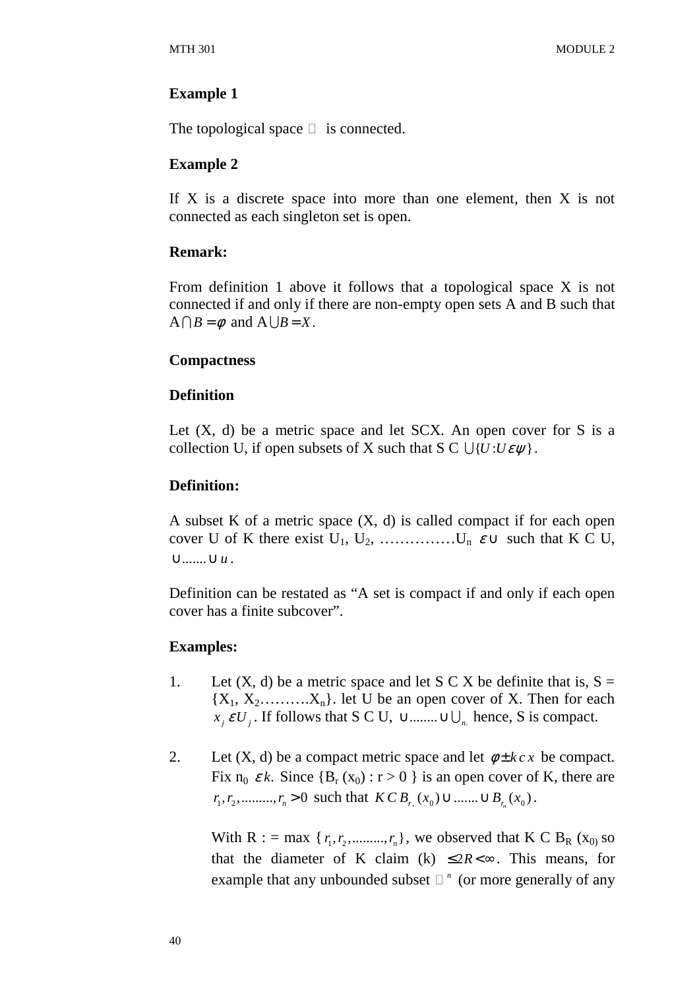#### **Example 1**

The topological space is connected.

#### **Example 2**

If  $X$  is a discrete space into more than one element, then  $X$  is not connected as each singleton set is open.

#### **Remark:**

From definition 1 above it follows that a topological space X is not connected if and only if there are non-empty open sets A and B such that  $A \cap B = \emptyset$  and  $A \cup B = X$ .

#### **Compactness**

#### **Definition**

Let  $(X, d)$  be a metric space and let SCX. An open cover for S is a collection U, if open subsets of X such that  $S \n\subset \bigcup \{U : U \in \psi\}.$ 

#### **Definition:**

A subset K of a metric space  $(X, d)$  is called compact if for each open cover U of K there exist  $U_1, U_2, \ldots, U_n \varepsilon \cup \text{ such that } K \subset U$ , ∪.......∪u.

Definition can be restated as "A set is compact if and only if each open cover has a finite subcover".

### **Examples:**

- 1. Let  $(X, d)$  be a metric space and let S C X be definite that is,  $S =$  ${X_1, X_2, \ldots, X_n}$ . let U be an open cover of X. Then for each  $x_j \in U_j$ . If follows that S C U,  $\cup$  ........ $\cup \bigcup_{n \in \mathbb{N}}$  hence, S is compact.
- 2. Let  $(X, d)$  be a compact metric space and let  $\phi \pm k c x$  be compact. Fix  $n_0 \varepsilon k$ . Since  ${B_r(x_0) : r > 0}$  is an open cover of K, there are  $r_1, r_2, \dots, r_n > 0$  such that  $KCB_{r, (x_0)} \cup \dots \cup B_{r_n}(x_0)$ .

With R : = max { $r_1, r_2, \ldots, r_n$ }, we observed that K C B<sub>R</sub> (x<sub>0)</sub> so that the diameter of K claim (k)  $\leq 2R \lt \infty$ . This means, for example that any unbounded subset <sup>n</sup> (or more generally of any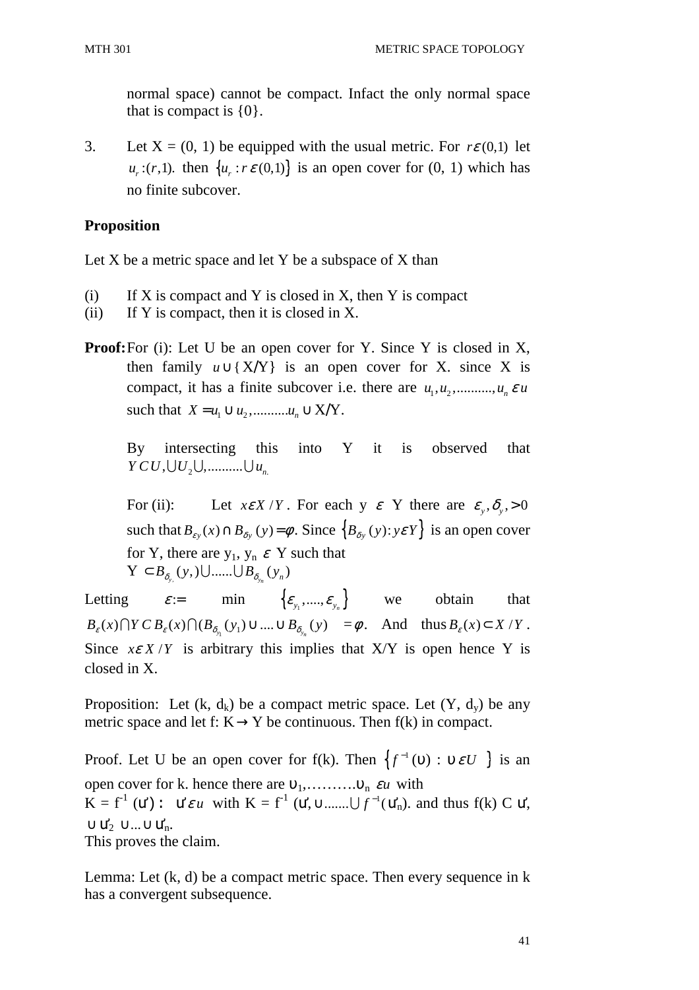normal space) cannot be compact. Infact the only normal space that is compact is  $\{0\}$ .

3. Let  $X = (0, 1)$  be equipped with the usual metric. For  $r\epsilon(0,1)$  let  $u_r$ :(*r*,1). then  $\{u_r : r \in (0,1)\}$  is an open cover for (0, 1) which has no finite subcover.

### **Proposition**

Let X be a metric space and let Y be a subspace of X than

- (i) If X is compact and Y is closed in X, then Y is compact
- (ii) If Y is compact, then it is closed in X.
- **Proof:** For (i): Let U be an open cover for Y. Since Y is closed in X, then family  $u \cup \{X/Y\}$  is an open cover for X. since X is compact, it has a finite subcover i.e. there are  $u_1, u_2, \dots, u_n \in U$ such that  $X = u_1 \cup u_2, \dots, u_n \cup X/Y$ .

By intersecting this into Y it is observed that  $YCU, \bigcup U$ <sub>2</sub>,  $\bigcup$ , ...........  $\bigcup u$ <sub>n</sub>

For (ii): Let  $x \in X/Y$ . For each y  $\varepsilon$  Y there are  $\varepsilon_y$ ,  $\delta_y$ ,  $> 0$ such that  $B_{\varepsilon y}(x) \cap B_{\delta y}(y) = \phi$ . Since  $\{B_{\delta y}(y) : y \in Y\}$  is an open cover for Y, there are  $y_1, y_n \varepsilon$  Y such that  $Y \subset B_{\delta_{y,}}(y,)\cup \dots \cup B_{\delta_{y_n}}(y_n)$ 

Letting  $\varepsilon = \min \left\{ \varepsilon_{y_1}, \dots, \varepsilon_{y_n} \right\}$  we obtain that  $B_{\varepsilon}(x) \bigcap Y \cap B_{\varepsilon}(x) \bigcap (B_{\delta_{y_1}}(y_1) \cup ....\cup B_{\delta_{y_n}}(y) = \emptyset$ . And thus  $B_{\varepsilon}(x) \subset X/Y$ . Since  $x \in X/Y$  is arbitrary this implies that X/Y is open hence Y is closed in X.

Proposition: Let  $(k, d_k)$  be a compact metric space. Let  $(Y, d_v)$  be any metric space and let f:  $K \rightarrow Y$  be continuous. Then f(k) in compact.

Proof. Let U be an open cover for f(k). Then  $\{f^{-1}(v) : v \in U\}$  is an open cover for k. hence there are  $v_1, \ldots, v_n$  *εu* with  $K = f^1$  (*u*'): *u'εu* with  $K = f^1$  (*u'*,  $\cup$  ........,  $\bigcup f^{-1}(u_n')$  and thus  $f(k)$  C *u'*,  $\cup$  Ư<sub>2</sub> ∪...∪Ư<sub>n</sub>. This proves the claim.

Lemma: Let  $(k, d)$  be a compact metric space. Then every sequence in k has a convergent subsequence.